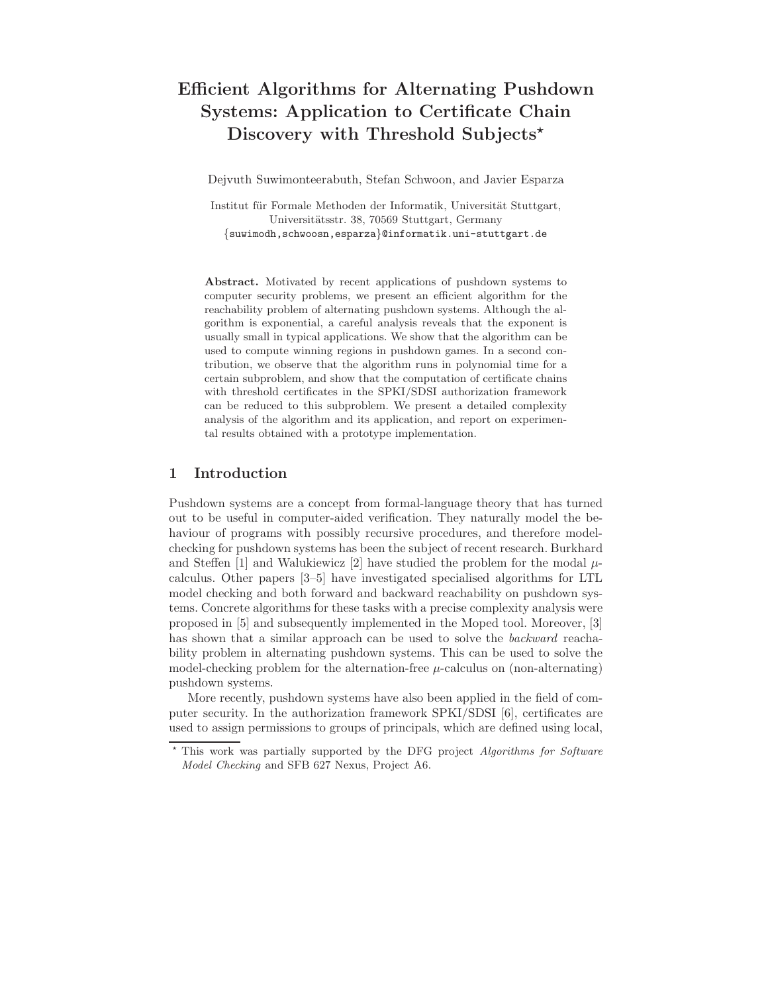# **Efficient Algorithms for Alternating Pushdown Systems: Application to Certificate Chain Discovery with Threshold Subjects***-*

Dejvuth Suwimonteerabuth, Stefan Schwoon, and Javier Esparza

Institut für Formale Methoden der Informatik, Universität Stuttgart, Universitätsstr. 38, 70569 Stuttgart, Germany {suwimodh,schwoosn,esparza}@informatik.uni-stuttgart.de

**Abstract.** Motivated by recent applications of pushdown systems to computer security problems, we present an efficient algorithm for the reachability problem of alternating pushdown systems. Although the algorithm is exponential, a careful analysis reveals that the exponent is usually small in typical applications. We show that the algorithm can be used to compute winning regions in pushdown games. In a second contribution, we observe that the algorithm runs in polynomial time for a certain subproblem, and show that the computation of certificate chains with threshold certificates in the SPKI/SDSI authorization framework can be reduced to this subproblem. We present a detailed complexity analysis of the algorithm and its application, and report on experimental results obtained with a prototype implementation.

## **1 Introduction**

Pushdown systems are a concept from formal-language theory that has turned out to be useful in computer-aided verification. They naturally model the behaviour of programs with possibly recursive procedures, and therefore modelchecking for pushdown systems has been the subject of recent research. Burkhard and Steffen [1] and Walukiewicz [2] have studied the problem for the modal  $\mu$ calculus. Other papers [3–5] have investigated specialised algorithms for LTL model checking and both forward and backward reachability on pushdown systems. Concrete algorithms for these tasks with a precise complexity analysis were proposed in [5] and subsequently implemented in the Moped tool. Moreover, [3] has shown that a similar approach can be used to solve the *backward* reachability problem in alternating pushdown systems. This can be used to solve the model-checking problem for the alternation-free  $\mu$ -calculus on (non-alternating) pushdown systems.

More recently, pushdown systems have also been applied in the field of computer security. In the authorization framework SPKI/SDSI [6], certificates are used to assign permissions to groups of principals, which are defined using local,

 $\star$  This work was partially supported by the DFG project *Algorithms for Software Model Checking* and SFB 627 Nexus, Project A6.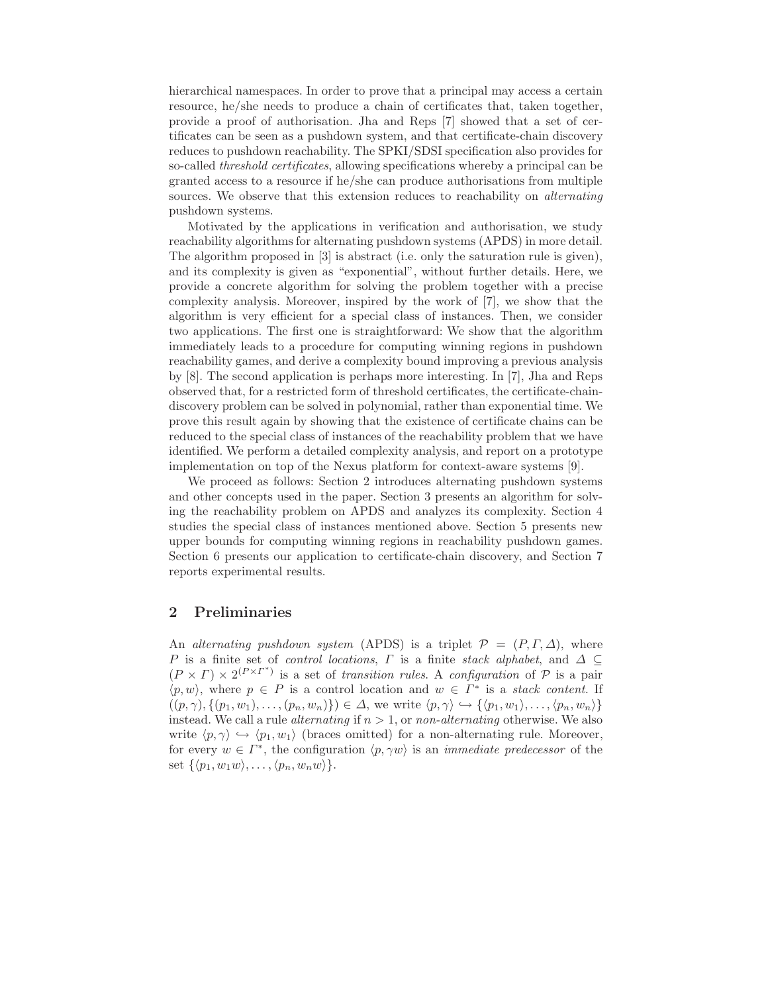hierarchical namespaces. In order to prove that a principal may access a certain resource, he/she needs to produce a chain of certificates that, taken together, provide a proof of authorisation. Jha and Reps [7] showed that a set of certificates can be seen as a pushdown system, and that certificate-chain discovery reduces to pushdown reachability. The SPKI/SDSI specification also provides for so-called *threshold certificates*, allowing specifications whereby a principal can be granted access to a resource if he/she can produce authorisations from multiple sources. We observe that this extension reduces to reachability on *alternating* pushdown systems.

Motivated by the applications in verification and authorisation, we study reachability algorithms for alternating pushdown systems (APDS) in more detail. The algorithm proposed in [3] is abstract (i.e. only the saturation rule is given), and its complexity is given as "exponential", without further details. Here, we provide a concrete algorithm for solving the problem together with a precise complexity analysis. Moreover, inspired by the work of [7], we show that the algorithm is very efficient for a special class of instances. Then, we consider two applications. The first one is straightforward: We show that the algorithm immediately leads to a procedure for computing winning regions in pushdown reachability games, and derive a complexity bound improving a previous analysis by [8]. The second application is perhaps more interesting. In [7], Jha and Reps observed that, for a restricted form of threshold certificates, the certificate-chaindiscovery problem can be solved in polynomial, rather than exponential time. We prove this result again by showing that the existence of certificate chains can be reduced to the special class of instances of the reachability problem that we have identified. We perform a detailed complexity analysis, and report on a prototype implementation on top of the Nexus platform for context-aware systems [9].

We proceed as follows: Section 2 introduces alternating pushdown systems and other concepts used in the paper. Section 3 presents an algorithm for solving the reachability problem on APDS and analyzes its complexity. Section 4 studies the special class of instances mentioned above. Section 5 presents new upper bounds for computing winning regions in reachability pushdown games. Section 6 presents our application to certificate-chain discovery, and Section 7 reports experimental results.

### **2 Preliminaries**

An *alternating pushdown system* (APDS) is a triplet  $\mathcal{P} = (P, \Gamma, \Delta)$ , where P is a finite set of *control locations*,  $\Gamma$  is a finite *stack alphabet*, and  $\Delta \subseteq$  $(P \times \Gamma) \times 2^{(P \times \Gamma^*)}$  is a set of *transition rules*. A *configuration* of P is a pair  $\langle p, w \rangle$ , where  $p \in P$  is a control location and  $w \in \Gamma^*$  is a *stack content*. If  $((p, \gamma), \{(p_1, w_1), \ldots, (p_n, w_n)\}) \in \Delta$ , we write  $\langle p, \gamma \rangle \hookrightarrow \{\langle p_1, w_1 \rangle, \ldots, \langle p_n, w_n \rangle\}$ instead. We call a rule *alternating* if  $n > 1$ , or *non-alternating* otherwise. We also write  $\langle p, \gamma \rangle \hookrightarrow \langle p_1, w_1 \rangle$  (braces omitted) for a non-alternating rule. Moreover, for every  $w \in \Gamma^*$ , the configuration  $\langle p, \gamma w \rangle$  is an *immediate predecessor* of the set  $\{\langle p_1, w_1w \rangle, \ldots, \langle p_n, w_nw \rangle\}.$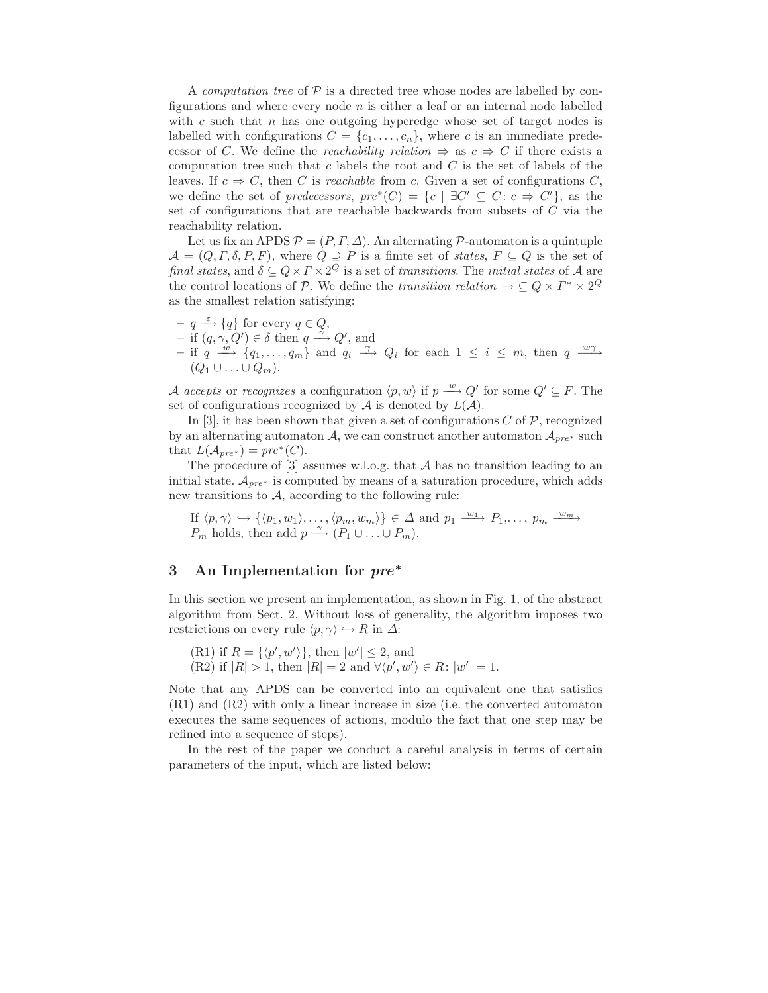A *computation tree* of P is a directed tree whose nodes are labelled by configurations and where every node  $n$  is either a leaf or an internal node labelled with c such that n has one outgoing hyperedge whose set of target nodes is labelled with configurations  $C = \{c_1, \ldots, c_n\}$ , where c is an immediate predecessor of C. We define the *reachability relation*  $\Rightarrow$  as  $c \Rightarrow C$  if there exists a computation tree such that  $c$  labels the root and  $C$  is the set of labels of the leaves. If  $c \Rightarrow C$ , then C is *reachable* from c. Given a set of configurations C, we define the set of *predecessors*,  $pre^*(C) = \{c \mid \exists C' \subseteq C : c \Rightarrow C'\}$ , as the set of configurations that are reachable backwards from subsets of C via the reachability relation.

Let us fix an APDS  $P = (P, \Gamma, \Delta)$ . An alternating P-automaton is a quintuple  $\mathcal{A} = (Q, \Gamma, \delta, P, F)$ , where  $Q \supseteq P$  is a finite set of *states*,  $F \subseteq Q$  is the set of *final states*, and  $\delta \subseteq Q \times \Gamma \times 2^Q$  is a set of *transitions*. The *initial states* of A are the control locations of P. We define the *transition relation*  $\rightarrow \subseteq Q \times \Gamma^* \times 2^Q$ as the smallest relation satisfying:

$$
- q \xrightarrow{\varepsilon} \{q\} \text{ for every } q \in Q,
$$
  
- if  $(q, \gamma, Q') \in \delta$  then  $q \xrightarrow{\gamma} Q'$ , and  
- if  $q \xrightarrow{w} \{q_1, ..., q_m\}$  and  $q_i \xrightarrow{\gamma} Q_i$  for each  $1 \le i \le m$ , then  $q \xrightarrow{w\gamma} (Q_1 \cup ... \cup Q_m)$ .

A *accepts* or *recognizes* a configuration  $\langle p, w \rangle$  if  $p \stackrel{w}{\longrightarrow} Q'$  for some  $Q' \subseteq F$ . The set of configurations recognized by  $A$  is denoted by  $L(A)$ .

In [3], it has been shown that given a set of configurations  $C$  of  $P$ , recognized by an alternating automaton  $\mathcal{A}$ , we can construct another automaton  $\mathcal{A}_{pre*}$  such that  $L(A_{pre^*}) = pre^*(C)$ .

The procedure of  $[3]$  assumes w.l.o.g. that A has no transition leading to an initial state. A*pre*<sup>∗</sup> is computed by means of a saturation procedure, which adds new transitions to  $A$ , according to the following rule:

If 
$$
\langle p, \gamma \rangle \hookrightarrow \{\langle p_1, w_1 \rangle, \dots, \langle p_m, w_m \rangle\} \in \Delta
$$
 and  $p_1 \xrightarrow{w_1} P_1, \dots, p_m \xrightarrow{w_m} P_m$  holds, then add  $p \xrightarrow{\gamma} (P_1 \cup \dots \cup P_m)$ .

## **3 An Implementation for** *pre<sup>∗</sup>*

In this section we present an implementation, as shown in Fig. 1, of the abstract algorithm from Sect. 2. Without loss of generality, the algorithm imposes two restrictions on every rule  $\langle p, \gamma \rangle \hookrightarrow R$  in  $\Delta$ :

 $(R1)$  if  $R = \{ \langle p', w' \rangle \}$ , then  $|w'| \leq 2$ , and  $(R2)$  if  $|R| > 1$ , then  $|R| = 2$  and  $\forall \langle p', w' \rangle \in R$ :  $|w'| = 1$ .

Note that any APDS can be converted into an equivalent one that satisfies (R1) and (R2) with only a linear increase in size (i.e. the converted automaton executes the same sequences of actions, modulo the fact that one step may be refined into a sequence of steps).

In the rest of the paper we conduct a careful analysis in terms of certain parameters of the input, which are listed below: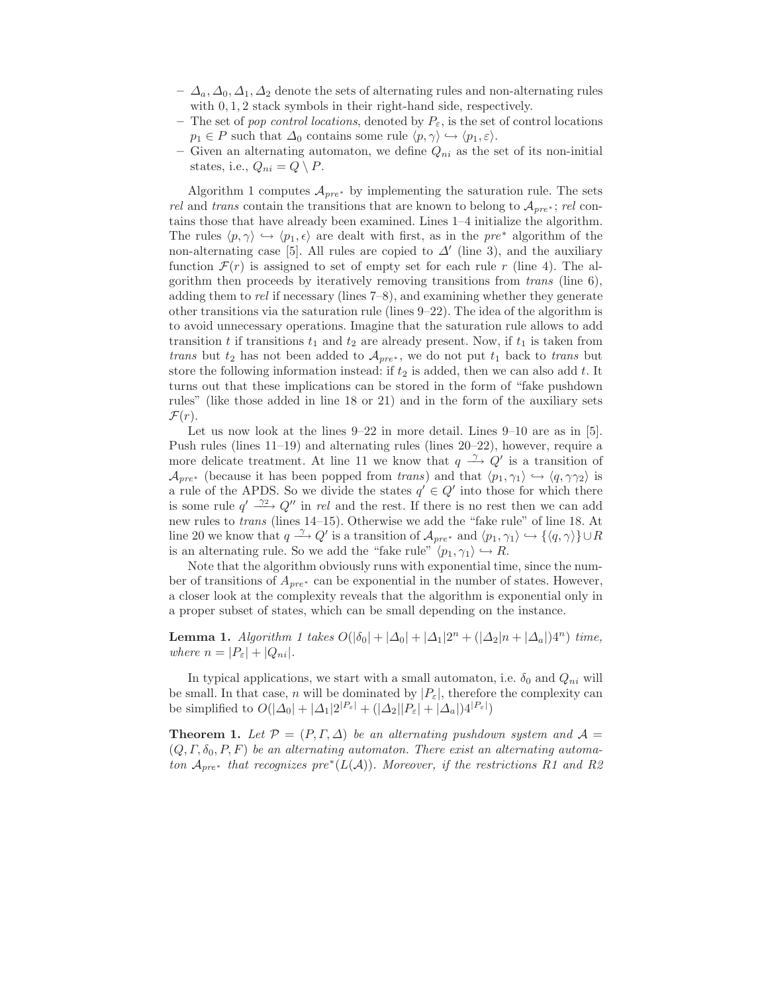- $-\Delta_a, \Delta_0, \Delta_1, \Delta_2$  denote the sets of alternating rules and non-alternating rules with  $0, 1, 2$  stack symbols in their right-hand side, respectively.
- **–** The set of *pop control locations*, denoted by Pε, is the set of control locations  $p_1 \in P$  such that  $\Delta_0$  contains some rule  $\langle p, \gamma \rangle \hookrightarrow \langle p_1, \varepsilon \rangle$ .
- Given an alternating automaton, we define  $Q_{ni}$  as the set of its non-initial states, i.e.,  $Q_{ni} = Q \setminus P$ .

Algorithm 1 computes  $A_{pre*}$  by implementing the saturation rule. The sets *rel* and *trans* contain the transitions that are known to belong to  $A_{pre*}$ ; *rel* contains those that have already been examined. Lines 1–4 initialize the algorithm. The rules  $\langle p, \gamma \rangle \hookrightarrow \langle p_1, \epsilon \rangle$  are dealt with first, as in the *pre*<sup>∗</sup> algorithm of the non-alternating case [5]. All rules are copied to  $\Delta'$  (line 3), and the auxiliary function  $\mathcal{F}(r)$  is assigned to set of empty set for each rule r (line 4). The algorithm then proceeds by iteratively removing transitions from *trans* (line 6), adding them to *rel* if necessary (lines 7–8), and examining whether they generate other transitions via the saturation rule (lines 9–22). The idea of the algorithm is to avoid unnecessary operations. Imagine that the saturation rule allows to add transition t if transitions  $t_1$  and  $t_2$  are already present. Now, if  $t_1$  is taken from *trans* but  $t_2$  has not been added to  $A_{pre^*}$ , we do not put  $t_1$  back to *trans* but store the following information instead: if  $t_2$  is added, then we can also add  $t$ . It turns out that these implications can be stored in the form of "fake pushdown rules" (like those added in line 18 or 21) and in the form of the auxiliary sets  $\mathcal{F}(r)$ .

Let us now look at the lines  $9-22$  in more detail. Lines  $9-10$  are as in [5]. Push rules (lines 11–19) and alternating rules (lines 20–22), however, require a more delicate treatment. At line 11 we know that  $q \rightarrow Q'$  is a transition of  $\mathcal{A}_{pre^*}$  (because it has been popped from *trans*) and that  $\langle p_1, \gamma_1 \rangle \hookrightarrow \langle q, \gamma \gamma_2 \rangle$  is a rule of the APDS. So we divide the states  $q' \in Q'$  into those for which there is some rule  $q' \stackrel{\gamma_2}{\longrightarrow} Q''$  in *rel* and the rest. If there is no rest then we can add new rules to *trans* (lines 14–15). Otherwise we add the "fake rule" of line 18. At line 20 we know that  $q \to Q'$  is a transition of  $\mathcal{A}_{pre^*}$  and  $\langle p_1, \gamma_1 \rangle \hookrightarrow \{\langle q, \gamma \rangle\} \cup R$ is an alternating rule. So we add the "fake rule"  $\langle p_1, \gamma_1 \rangle \hookrightarrow R$ .

Note that the algorithm obviously runs with exponential time, since the number of transitions of A*pre*<sup>∗</sup> can be exponential in the number of states. However, a closer look at the complexity reveals that the algorithm is exponential only in a proper subset of states, which can be small depending on the instance.

**Lemma 1.** *Algorithm 1 takes*  $O(|\delta_0| + |\Delta_0| + |\Delta_1|2^n + (|\Delta_2|n + |\Delta_a|)4^n)$  *time, where*  $n = |P_{\varepsilon}| + |Q_{ni}|$ .

In typical applications, we start with a small automaton, i.e.  $\delta_0$  and  $Q_{ni}$  will be small. In that case, n will be dominated by  $|P_{\varepsilon}|$ , therefore the complexity can be simplified to  $O(|\Delta_0| + |\Delta_1| 2^{|P_{\varepsilon}|} + (|\Delta_2||P_{\varepsilon}| + |\Delta_a|) 4^{|P_{\varepsilon}|})$ 

**Theorem 1.** Let  $\mathcal{P} = (P, \Gamma, \Delta)$  be an alternating pushdown system and  $\mathcal{A} =$  $(Q, \Gamma, \delta_0, P, F)$  *be an alternating automaton. There exist an alternating automaton*  $A_{pre^*}$  *that recognizes pre*<sup>\*</sup>( $L(A)$ )*. Moreover, if the restrictions R1 and R2*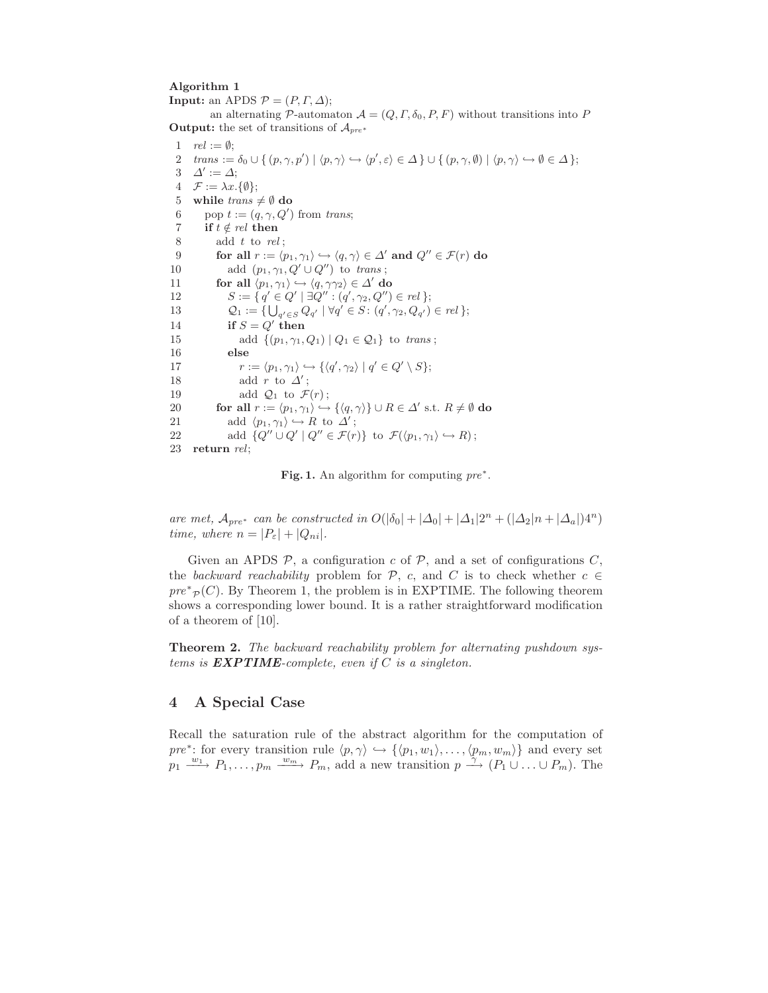#### **Algorithm 1**

**Input:** an APDS  $P = (P, \Gamma, \Delta);$ an alternating P-automaton  $A = (Q, \Gamma, \delta_0, P, F)$  without transitions into P **Output:** the set of transitions of A*pre*<sup>∗</sup>

1  $rel := \emptyset;$ 2  $trans := \delta_0 \cup \{ (p, \gamma, p') \mid \langle p, \gamma \rangle \hookrightarrow \langle p', \varepsilon \rangle \in \Delta \} \cup \{ (p, \gamma, \emptyset) \mid \langle p, \gamma \rangle \hookrightarrow \emptyset \in \Delta \};$ 3  $\Delta' := \Delta;$  $4 \quad \mathcal{F} := \lambda x. \{\emptyset\};$ 5 **while**  $trans \neq \emptyset$  **do**<br>6 **pop**  $t := (q, \gamma, Q')$ 6 pop  $t := (q, \gamma, Q')$  from *trans*; 7 **if**  $t \notin rel$  **then**<br>8 **add**  $t$  **to**  $rel$ add t to rel;  $9$  **for all**  $r := \langle p_1, \gamma_1 \rangle \hookrightarrow \langle q, \gamma \rangle \in \Delta'$  **and**  $Q'' \in \mathcal{F}(r)$  **do** 10 add  $(p_1, \gamma_1, Q' \cup Q'')$  to *trans*; 11 **for all**  $\langle p_1, \gamma_1 \rangle \leftrightarrow \langle q, \gamma_2 \rangle \in \Delta'$  **do** 12  $S := \{ q' \in Q' \mid \exists Q'' : (q', \gamma_2, Q'') \in rel \};$ 13  $Q_1 := \{ \bigcup_{q' \in S} Q_{q'} \mid \forall q' \in S : (q', \gamma_2, Q_{q'}) \in rel \};$ 14 **if**  $S = Q'$  then 15 add  $\{(p_1, \gamma_1, Q_1) | Q_1 \in \mathcal{Q}_1\}$  to *trans*;<br>16 else 16 **else** 17  $r := \langle p_1, \gamma_1 \rangle \hookrightarrow \{ \langle q', \gamma_2 \rangle \mid q' \in Q' \setminus S \};$ 18 add r to  $\Delta'$ ; 19 add  $Q_1$  to  $\mathcal{F}(r)$ ;<br>20 **for all**  $r := \langle p_1, \gamma_1 \rangle \hookrightarrow$ 20 **for all**  $r := \langle p_1, \gamma_1 \rangle \hookrightarrow \{ \langle q, \gamma \rangle \} \cup R \in \Delta' \text{ s.t. } R \neq \emptyset \textbf{ do}$ 21 add  $\langle p_1, \gamma_1 \rangle \hookrightarrow R$  to  $\Delta'$ ; 22 add  $\{Q'' \cup Q' \mid Q'' \in \mathcal{F}(r)\}\$ to  $\mathcal{F}(\langle p_1, \gamma_1 \rangle \hookrightarrow R)$ ; 23 **return** *rel*;

**Fig. 1.** An algorithm for computing *pre*∗.

*are met,*  $\mathcal{A}_{pre^*}$  *can be constructed in*  $O(|\delta_0| + |\Delta_0| + |\Delta_1|2^n + (|\Delta_2|n + |\Delta_a|)4^n)$ *time, where*  $n = |P_{\varepsilon}| + |Q_{ni}|$ .

Given an APDS  $P$ , a configuration c of  $P$ , and a set of configurations  $C$ , the *backward reachability* problem for  $P$ ,  $c$ , and  $C$  is to check whether  $c \in$  $pre^*_{\mathcal{P}}(C)$ . By Theorem 1, the problem is in EXPTIME. The following theorem shows a corresponding lower bound. It is a rather straightforward modification of a theorem of [10].

**Theorem 2.** *The backward reachability problem for alternating pushdown systems is EXPTIME-complete, even if* C *is a singleton.*

### **4 A Special Case**

Recall the saturation rule of the abstract algorithm for the computation of *pre*<sup>∗</sup>: for every transition rule  $\langle p, \gamma \rangle \hookrightarrow \{\langle p_1, w_1 \rangle, \ldots, \langle p_m, w_m \rangle\}$  and every set  $p_1 \xrightarrow{w_1} P_1, \ldots, p_m \xrightarrow{w_m} P_m$ , add a new transition  $p \xrightarrow{\gamma} (P_1 \cup \ldots \cup P_m)$ . The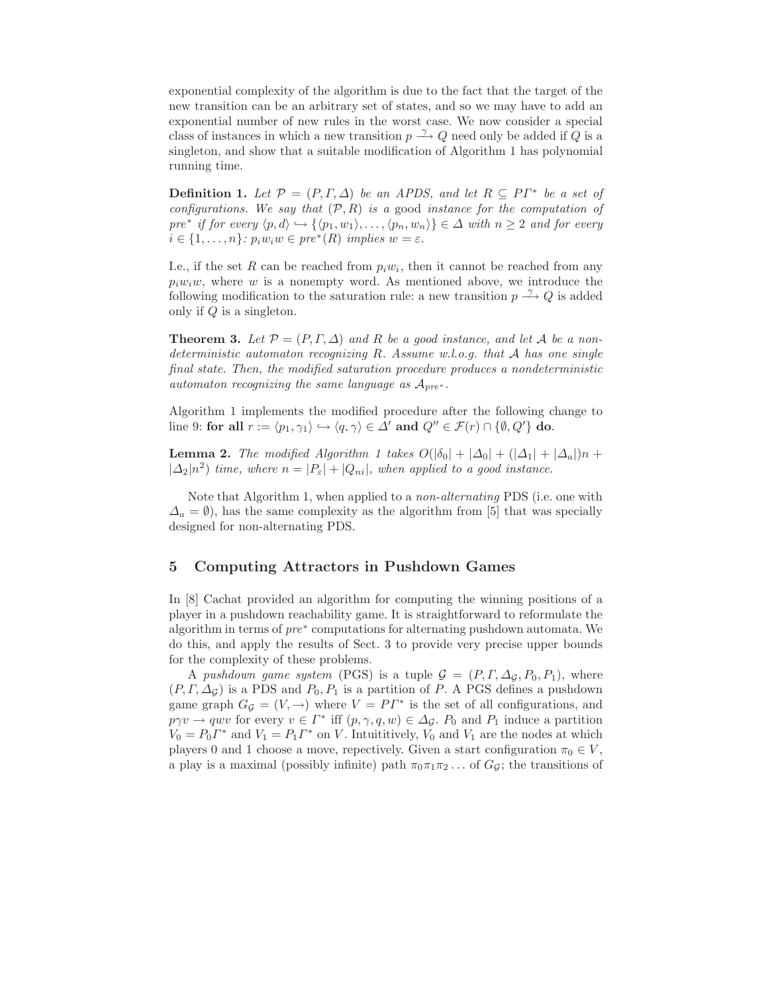exponential complexity of the algorithm is due to the fact that the target of the new transition can be an arbitrary set of states, and so we may have to add an exponential number of new rules in the worst case. We now consider a special class of instances in which a new transition  $p \stackrel{\gamma}{\longrightarrow} Q$  need only be added if  $Q$  is a singleton, and show that a suitable modification of Algorithm 1 has polynomial running time.

**Definition 1.** Let  $\mathcal{P} = (P, \Gamma, \Delta)$  be an APDS, and let  $R \subseteq PT^*$  be a set of *configurations. We say that* (P, R) *is a* good *instance for the computation of*  $pre^*$  *if for every*  $\langle p, d \rangle \hookrightarrow \{\langle p_1, w_1 \rangle, \ldots, \langle p_n, w_n \rangle\} \in \Delta$  *with*  $n \geq 2$  *and for every*  $i \in \{1, \ldots, n\}$ :  $p_i w_i w \in pre^*(R)$  *implies*  $w = \varepsilon$ .

I.e., if the set R can be reached from  $p_i w_i$ , then it cannot be reached from any  $p_iw_i$ , where w is a nonempty word. As mentioned above, we introduce the following modification to the saturation rule: a new transition  $p \xrightarrow{\gamma} Q$  is added only if Q is a singleton.

**Theorem 3.** Let  $\mathcal{P} = (P, \Gamma, \Delta)$  and R be a good instance, and let A be a non*deterministic automaton recognizing* <sup>R</sup>*. Assume w.l.o.g. that* <sup>A</sup> *has one single final state. Then, the modified saturation procedure produces a nondeterministic automaton recognizing the same language as* A*pre*<sup>∗</sup> *.*

Algorithm 1 implements the modified procedure after the following change to line 9: **for all**  $r := \langle p_1, \gamma_1 \rangle \hookrightarrow \langle q, \gamma \rangle \in \Delta'$  and  $Q'' \in \mathcal{F}(r) \cap \{ \emptyset, Q' \}$  do.

**Lemma 2.** *The modified Algorithm 1 takes*  $O(|\delta_0| + |\Delta_0| + (|\Delta_1| + |\Delta_a|)n +$  $|\Delta_2|n^2$  *time, where*  $n = |P_{\varepsilon}| + |Q_{ni}|$ *, when applied to a good instance.* 

Note that Algorithm 1, when applied to a *non-alternating* PDS (i.e. one with  $\Delta_a = \emptyset$ ), has the same complexity as the algorithm from [5] that was specially designed for non-alternating PDS.

## **5 Computing Attractors in Pushdown Games**

In [8] Cachat provided an algorithm for computing the winning positions of a player in a pushdown reachability game. It is straightforward to reformulate the algorithm in terms of *pre*<sup>∗</sup> computations for alternating pushdown automata. We do this, and apply the results of Sect. 3 to provide very precise upper bounds for the complexity of these problems.

A *pushdown game system* (PGS) is a tuple  $\mathcal{G} = (P, \Gamma, \Delta_{\mathcal{G}}, P_0, P_1)$ , where  $(P, \Gamma, \Delta_{\mathcal{G}})$  is a PDS and  $P_0, P_1$  is a partition of P. A PGS defines a pushdown game graph  $G_{\mathcal{G}} = (V, \rightarrow)$  where  $V = PT^*$  is the set of all configurations, and  $p\gamma v \to q w v$  for every  $v \in \Gamma^*$  iff  $(p, \gamma, q, w) \in \Delta_{\mathcal{G}}$ .  $P_0$  and  $P_1$  induce a partition  $V_0 = P_0 \Gamma^*$  and  $V_1 = P_1 \Gamma^*$  on V. Intuititively,  $V_0$  and  $V_1$  are the nodes at which players 0 and 1 choose a move, repectively. Given a start configuration  $\pi_0 \in V$ , a play is a maximal (possibly infinite) path  $\pi_0 \pi_1 \pi_2 \dots$  of  $G_{\mathcal{G}}$ ; the transitions of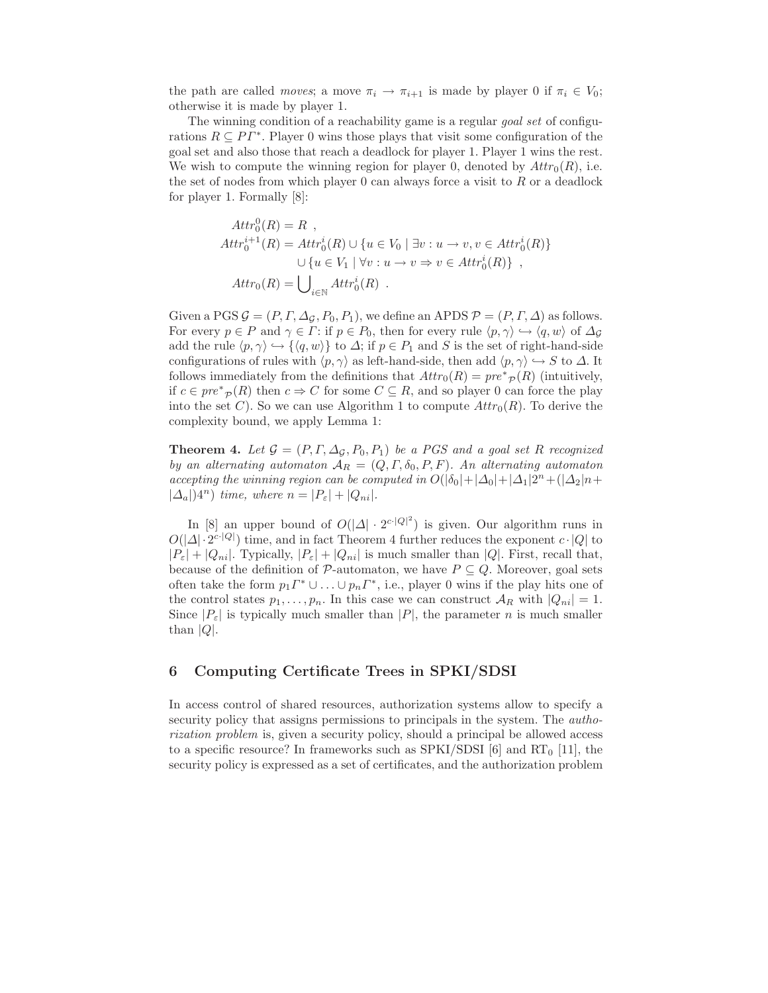the path are called *moves*; a move  $\pi_i \to \pi_{i+1}$  is made by player 0 if  $\pi_i \in V_0$ ; otherwise it is made by player 1.

The winning condition of a reachability game is a regular *goal set* of configurations  $R \subseteq PT^*$ . Player 0 wins those plays that visit some configuration of the goal set and also those that reach a deadlock for player 1. Player 1 wins the rest. We wish to compute the winning region for player 0, denoted by  $Attr_0(R)$ , i.e. the set of nodes from which player  $0$  can always force a visit to R or a deadlock for player 1. Formally [8]:

$$
Attr_0^0(R) = R ,
$$
  
\n
$$
Attr_0^{i+1}(R) = Attr_0^i(R) \cup \{u \in V_0 \mid \exists v : u \to v, v \in Attr_0^i(R)\}
$$
  
\n
$$
\cup \{u \in V_1 \mid \forall v : u \to v \Rightarrow v \in Attr_0^i(R)\},
$$
  
\n
$$
Attr_0(R) = \bigcup_{i \in \mathbb{N}}Attr_0^i(R) .
$$

Given a PGS  $\mathcal{G} = (P, \Gamma, \Delta_{\mathcal{G}}, P_0, P_1)$ , we define an APDS  $\mathcal{P} = (P, \Gamma, \Delta)$  as follows. For every  $p \in P$  and  $\gamma \in \Gamma$ : if  $p \in P_0$ , then for every rule  $\langle p, \gamma \rangle \hookrightarrow \langle q, w \rangle$  of  $\Delta_{\mathcal{G}}$ add the rule  $\langle p, \gamma \rangle \hookrightarrow \{ \langle q, w \rangle \}$  to  $\Delta$ ; if  $p \in P_1$  and S is the set of right-hand-side configurations of rules with  $\langle p, \gamma \rangle$  as left-hand-side, then add  $\langle p, \gamma \rangle \hookrightarrow S$  to  $\Delta$ . It follows immediately from the definitions that  $Attr_0(R) = pre^*_{\mathcal{P}}(R)$  (intuitively, if  $c \in pre^*_{\mathcal{P}}(R)$  then  $c \Rightarrow C$  for some  $C \subseteq R$ , and so player 0 can force the play into the set C). So we can use Algorithm 1 to compute  $Attr_0(R)$ . To derive the complexity bound, we apply Lemma 1:

**Theorem 4.** Let  $\mathcal{G} = (P, \Gamma, \Delta_{\mathcal{G}}, P_0, P_1)$  be a PGS and a goal set R recognized *by an alternating automaton*  $A_R = (Q, \Gamma, \delta_0, P, F)$ *. An alternating automaton accepting the winning region can be computed in*  $O(|\delta_0|+|\Delta_0|+|\Delta_1|2^n+(|\Delta_2|n+$  $|\Delta_a|$  $4^n$ ) *time, where*  $n = |P_{\varepsilon}| + |Q_{ni}|$ *.* 

In [8] an upper bound of  $O(|\Delta| \cdot 2^{c \cdot |Q|^2})$  is given. Our algorithm runs in  $O(|\Delta| \cdot 2^{c \cdot |Q|})$  time, and in fact Theorem 4 further reduces the exponent  $c \cdot |Q|$  to  $|P_{\varepsilon}| + |Q_{ni}|$ . Typically,  $|P_{\varepsilon}| + |Q_{ni}|$  is much smaller than |Q|. First, recall that, because of the definition of  $\mathcal{P}\text{-automaton}$ , we have  $P \subseteq Q$ . Moreover, goal sets often take the form  $p_1\Gamma^* \cup \ldots \cup p_n\Gamma^*$ , i.e., player 0 wins if the play hits one of the control states  $p_1, \ldots, p_n$ . In this case we can construct  $\mathcal{A}_R$  with  $|Q_{ni}| = 1$ . Since  $|P_{\varepsilon}|$  is typically much smaller than  $|P|$ , the parameter *n* is much smaller than  $|Q|$ .

# **6 Computing Certificate Trees in SPKI/SDSI**

In access control of shared resources, authorization systems allow to specify a security policy that assigns permissions to principals in the system. The *authorization problem* is, given a security policy, should a principal be allowed access to a specific resource? In frameworks such as SPKI/SDSI [6] and  $RT_0$  [11], the security policy is expressed as a set of certificates, and the authorization problem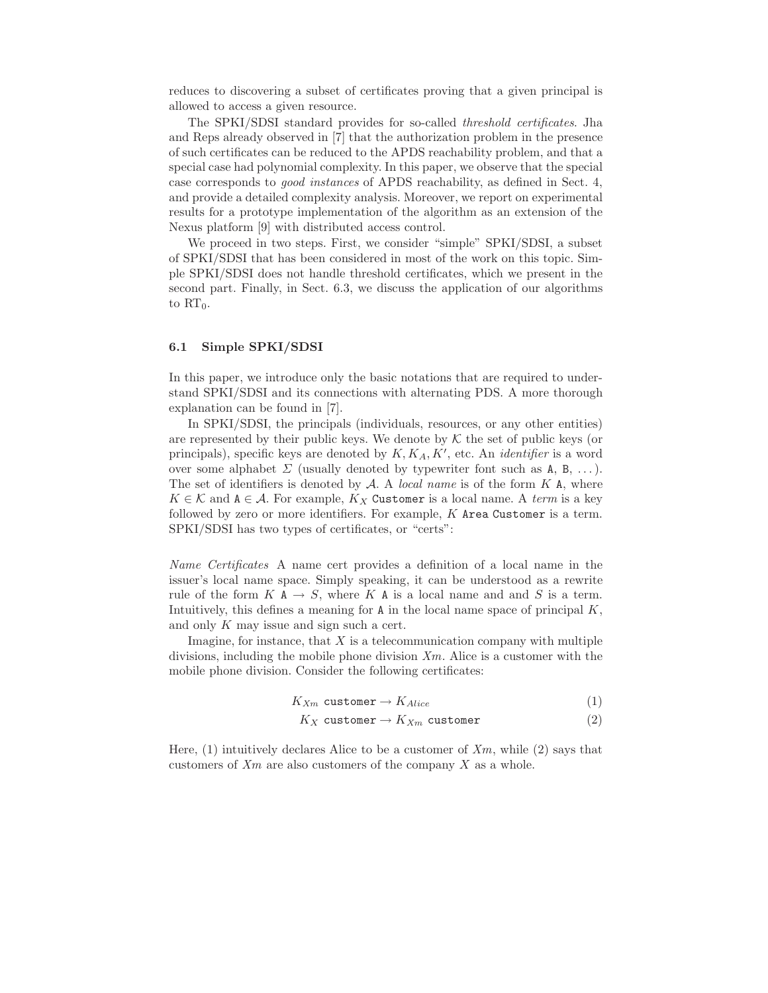reduces to discovering a subset of certificates proving that a given principal is allowed to access a given resource.

The SPKI/SDSI standard provides for so-called *threshold certificates*. Jha and Reps already observed in [7] that the authorization problem in the presence of such certificates can be reduced to the APDS reachability problem, and that a special case had polynomial complexity. In this paper, we observe that the special case corresponds to *good instances* of APDS reachability, as defined in Sect. 4, and provide a detailed complexity analysis. Moreover, we report on experimental results for a prototype implementation of the algorithm as an extension of the Nexus platform [9] with distributed access control.

We proceed in two steps. First, we consider "simple" SPKI/SDSI, a subset of SPKI/SDSI that has been considered in most of the work on this topic. Simple SPKI/SDSI does not handle threshold certificates, which we present in the second part. Finally, in Sect. 6.3, we discuss the application of our algorithms to  $RT_0$ .

#### **6.1 Simple SPKI/SDSI**

In this paper, we introduce only the basic notations that are required to understand SPKI/SDSI and its connections with alternating PDS. A more thorough explanation can be found in [7].

In SPKI/SDSI, the principals (individuals, resources, or any other entities) are represented by their public keys. We denote by  $K$  the set of public keys (or principals), specific keys are denoted by  $K, K_A, K'$ , etc. An *identifier* is a word over some alphabet  $\Sigma$  (usually denoted by typewriter font such as A, B, ...). The set of identifiers is denoted by <sup>A</sup>. A *local name* is of the form <sup>K</sup> <sup>A</sup>, where  $K \in \mathcal{K}$  and  $A \in \mathcal{A}$ . For example,  $K_X$  Customer is a local name. A *term* is a key followed by zero or more identifiers. For example,  $K$  Area Customer is a term. SPKI/SDSI has two types of certificates, or "certs":

*Name Certificates* A name cert provides a definition of a local name in the issuer's local name space. Simply speaking, it can be understood as a rewrite rule of the form  $K \nightharpoonup S$ , where K A is a local name and and S is a term. Intuitively, this defines a meaning for  $A$  in the local name space of principal  $K$ , and only K may issue and sign such a cert.

Imagine, for instance, that  $X$  is a telecommunication company with multiple divisions, including the mobile phone division *Xm*. Alice is a customer with the mobile phone division. Consider the following certificates:

$$
K_{Xm} \text{ customer} \to K_{Alice} \tag{1}
$$

$$
K_X \text{ customer} \to K_{Xm} \text{ customer} \tag{2}
$$

Here, (1) intuitively declares Alice to be a customer of *Xm*, while (2) says that customers of *Xm* are also customers of the company X as a whole.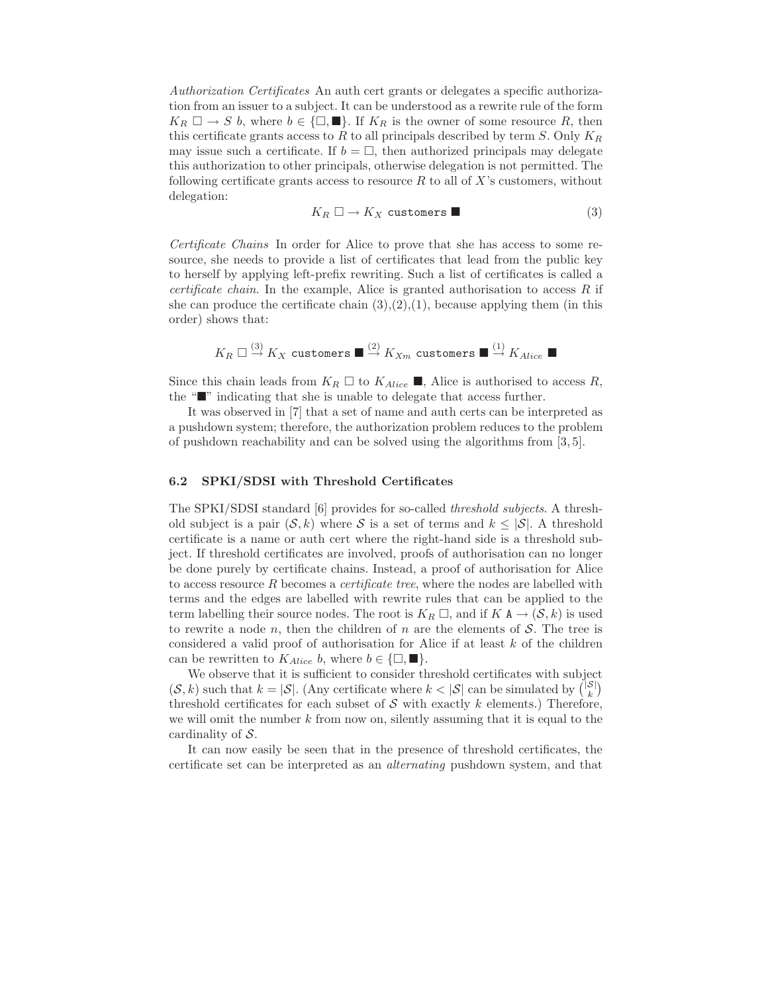*Authorization Certificates* An auth cert grants or delegates a specific authorization from an issuer to a subject. It can be understood as a rewrite rule of the form  $K_R \square \to S$  b, where  $b \in \{\square, \blacksquare\}$ . If  $K_R$  is the owner of some resource R, then this certificate grants access to  $R$  to all principals described by term  $S$ . Only  $K_R$ may issue such a certificate. If  $b = \Box$ , then authorized principals may delegate this authorization to other principals, otherwise delegation is not permitted. The following certificate grants access to resource  $R$  to all of  $X$ 's customers, without delegation:

$$
K_R \Box \to K_X \text{ customers} \quad \blacksquare \tag{3}
$$

*Certificate Chains* In order for Alice to prove that she has access to some resource, she needs to provide a list of certificates that lead from the public key to herself by applying left-prefix rewriting. Such a list of certificates is called a *certificate chain*. In the example, Alice is granted authorisation to access R if she can produce the certificate chain  $(3),(2),(1)$ , because applying them (in this order) shows that:

$$
K_R \mathbin{\square} \stackrel{(3)}{\to} K_X \text{ customers} \blacksquare \stackrel{(2)}{\to} K_{Xm} \text{ customers} \blacksquare \stackrel{(1)}{\to} K_{Alice} \blacksquare
$$

Since this chain leads from  $K_R \square$  to  $K_{Alice} \blacksquare$ , Alice is authorised to access R, the " $\blacksquare$ " indicating that she is unable to delegate that access further.

It was observed in [7] that a set of name and auth certs can be interpreted as a pushdown system; therefore, the authorization problem reduces to the problem of pushdown reachability and can be solved using the algorithms from [3, 5].

### **6.2 SPKI/SDSI with Threshold Certificates**

The SPKI/SDSI standard [6] provides for so-called *threshold subjects*. A threshold subject is a pair  $(\mathcal{S}, k)$  where S is a set of terms and  $k \leq |\mathcal{S}|$ . A threshold certificate is a name or auth cert where the right-hand side is a threshold subject. If threshold certificates are involved, proofs of authorisation can no longer be done purely by certificate chains. Instead, a proof of authorisation for Alice to access resource R becomes a *certificate tree*, where the nodes are labelled with terms and the edges are labelled with rewrite rules that can be applied to the term labelling their source nodes. The root is  $K_R \square$ , and if  $K \mathbf{A} \to (\mathcal{S}, k)$  is used to rewrite a node n, then the children of n are the elements of  $S$ . The tree is considered a valid proof of authorisation for Alice if at least k of the children can be rewritten to  $K_{Alice}$  b, where  $b \in {\{\Box, \blacksquare\}}.$ 

We observe that it is sufficient to consider threshold certificates with subject  $(S, k)$  such that  $k = |S|$ . (Any certificate where  $k < |S|$  can be simulated by  $\binom{|S|}{k}$ threshold certificates for each subset of  $S$  with exactly  $k$  elements.) Therefore, we will omit the number  $k$  from now on, silently assuming that it is equal to the cardinality of S.

It can now easily be seen that in the presence of threshold certificates, the certificate set can be interpreted as an *alternating* pushdown system, and that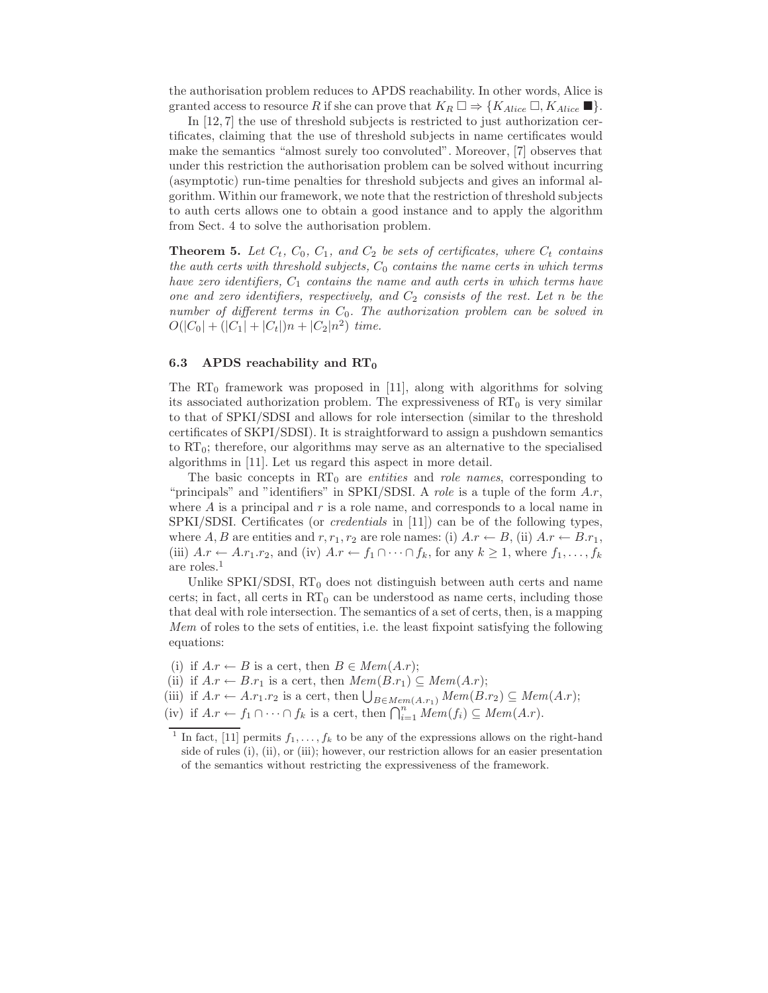the authorisation problem reduces to APDS reachability. In other words, Alice is granted access to resource R if she can prove that  $K_R \Box \Rightarrow \{K_{Alice} \Box, K_{Alice} \blacksquare\}.$ 

In [12, 7] the use of threshold subjects is restricted to just authorization certificates, claiming that the use of threshold subjects in name certificates would make the semantics "almost surely too convoluted". Moreover, [7] observes that under this restriction the authorisation problem can be solved without incurring (asymptotic) run-time penalties for threshold subjects and gives an informal algorithm. Within our framework, we note that the restriction of threshold subjects to auth certs allows one to obtain a good instance and to apply the algorithm from Sect. 4 to solve the authorisation problem.

**Theorem 5.** Let  $C_t$ ,  $C_0$ ,  $C_1$ , and  $C_2$  be sets of certificates, where  $C_t$  contains *the auth certs with threshold subjects,*  $C_0$  *contains the name certs in which terms have zero identifiers,*  $C_1$  *contains the name and auth certs in which terms have one and zero identifiers, respectively, and*  $C_2$  *consists of the rest. Let n be the number of different terms in*  $C_0$ . The authorization problem can be solved in  $O(|C_0| + (|C_1| + |C_t|)n + |C_2|n^2)$  *time.* 

#### **6.3 APDS reachability and RT<sup>0</sup>**

The  $RT_0$  framework was proposed in [11], along with algorithms for solving its associated authorization problem. The expressiveness of  $RT_0$  is very similar to that of SPKI/SDSI and allows for role intersection (similar to the threshold certificates of SKPI/SDSI). It is straightforward to assign a pushdown semantics to  $RT_0$ ; therefore, our algorithms may serve as an alternative to the specialised algorithms in [11]. Let us regard this aspect in more detail.

The basic concepts in  $RT_0$  are *entities* and *role names*, corresponding to "principals" and "identifiers" in SPKI/SDSI. A *role* is a tuple of the form A.r, where  $A$  is a principal and  $r$  is a role name, and corresponds to a local name in SPKI/SDSI. Certificates (or *credentials* in [11]) can be of the following types, where A, B are entities and r,  $r_1$ ,  $r_2$  are role names: (i)  $A.r \leftarrow B$ , (ii)  $A.r \leftarrow B.r_1$ , (iii)  $A.r \leftarrow A.r_1.r_2$ , and (iv)  $A.r \leftarrow f_1 \cap \cdots \cap f_k$ , for any  $k \geq 1$ , where  $f_1, \ldots, f_k$ are roles.<sup>1</sup>

Unlike SPKI/SDSI,  $RT_0$  does not distinguish between auth certs and name certs; in fact, all certs in  $RT_0$  can be understood as name certs, including those that deal with role intersection. The semantics of a set of certs, then, is a mapping *Mem* of roles to the sets of entities, i.e. the least fixpoint satisfying the following equations:

- (i) if  $A.r \leftarrow B$  is a cert, then  $B \in \text{Mem}(A.r);$
- (ii) if  $A.r \leftarrow B.r_1$  is a cert, then  $Mem(B.r_1) \subseteq Mem(A.r);$
- (iii) if  $A.r \leftarrow A.r_1.r_2$  is a cert, then  $\bigcup_{B \in Mem(A.r_1)} Mem(B.r_2) \subseteq Mem(A.r);$
- (iv) if  $A.r \leftarrow f_1 \cap \cdots \cap f_k$  is a cert, then  $\bigcap_{i=1}^n \text{Mem}(f_i) \subseteq \text{Mem}(A.r)$ .

<sup>&</sup>lt;sup>1</sup> In fact, [11] permits  $f_1, \ldots, f_k$  to be any of the expressions allows on the right-hand side of rules (i), (ii), or (iii); however, our restriction allows for an easier presentation of the semantics without restricting the expressiveness of the framework.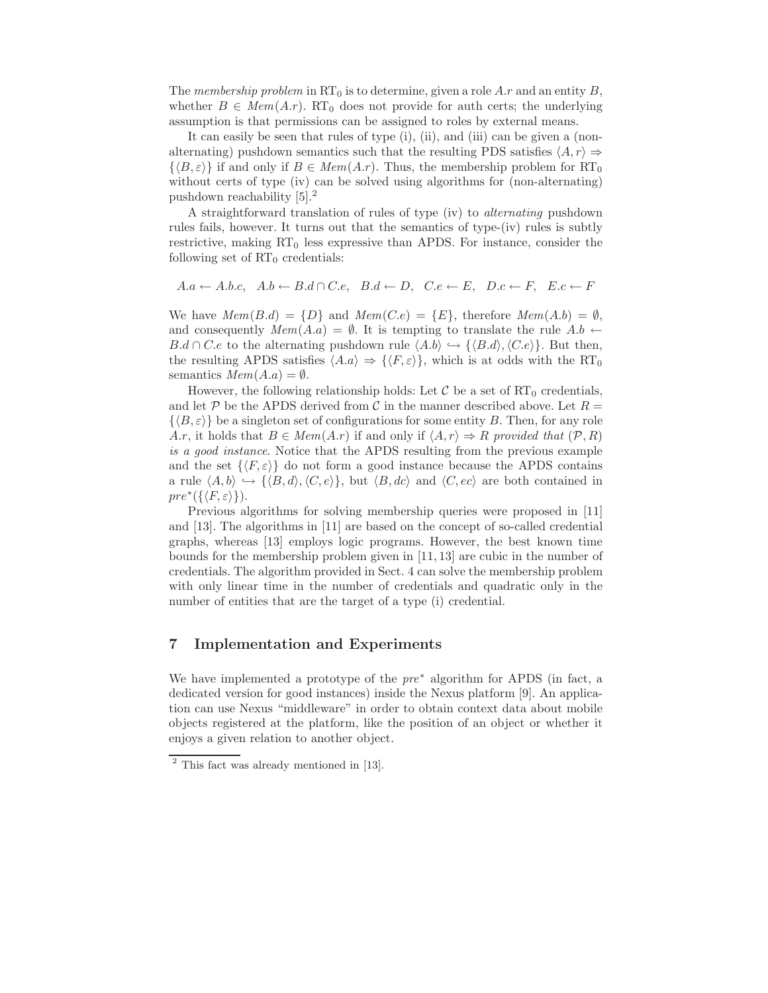The *membership problem* in  $RT_0$  is to determine, given a role A.r and an entity B, whether  $B \in Mem(A.r)$ . RT<sub>0</sub> does not provide for auth certs; the underlying assumption is that permissions can be assigned to roles by external means.

It can easily be seen that rules of type (i), (ii), and (iii) can be given a (nonalternating) pushdown semantics such that the resulting PDS satisfies  $\langle A, r \rangle \Rightarrow$  $\{\langle B,\varepsilon\rangle\}$  if and only if  $B \in \mathcal{M}em(A,r)$ . Thus, the membership problem for RT<sub>0</sub> without certs of type (iv) can be solved using algorithms for (non-alternating) pushdown reachability [5].<sup>2</sup>

A straightforward translation of rules of type (iv) to *alternating* pushdown rules fails, however. It turns out that the semantics of type-(iv) rules is subtly restrictive, making  $RT_0$  less expressive than APDS. For instance, consider the following set of  $RT_0$  credentials:

 $A.a \leftarrow A.b.c, A.b \leftarrow B.d \cap C.e, B.d \leftarrow D, C.e \leftarrow E, D.c \leftarrow F, E.c \leftarrow F$ 

We have  $Mem(B.d) = \{D\}$  and  $Mem(C.e) = \{E\}$ , therefore  $Mem(A.b) = \emptyset$ , and consequently  $Mem(A.a) = \emptyset$ . It is tempting to translate the rule  $A.b \leftarrow$  $B.d \cap C.e$  to the alternating pushdown rule  $\langle A.b \rangle \hookrightarrow \{\langle B.d \rangle, \langle C.e \rangle\}.$  But then, the resulting APDS satisfies  $\langle A.a \rangle \Rightarrow \{\langle F,\varepsilon \rangle\}$ , which is at odds with the RT<sub>0</sub> semantics  $Mem(A.a) = \emptyset$ .

However, the following relationship holds: Let  $\mathcal C$  be a set of  $RT_0$  credentials, and let  $P$  be the APDS derived from C in the manner described above. Let  $R =$  $\{\langle B,\varepsilon\rangle\}$  be a singleton set of configurations for some entity B. Then, for any role A.r, it holds that  $B \in \text{Mem}(A,r)$  if and only if  $\langle A, r \rangle \Rightarrow R$  provided that  $(\mathcal{P}, R)$ *is a good instance*. Notice that the APDS resulting from the previous example and the set  $\{ \langle F, \varepsilon \rangle \}$  do not form a good instance because the APDS contains a rule  $\langle A, b \rangle \hookrightarrow {\langle B, d \rangle, \langle C, e \rangle}$ , but  $\langle B, dc \rangle$  and  $\langle C, ec \rangle$  are both contained in  $pre^*(\{\langle F,\varepsilon\rangle\}).$ 

Previous algorithms for solving membership queries were proposed in [11] and [13]. The algorithms in [11] are based on the concept of so-called credential graphs, whereas [13] employs logic programs. However, the best known time bounds for the membership problem given in [11, 13] are cubic in the number of credentials. The algorithm provided in Sect. 4 can solve the membership problem with only linear time in the number of credentials and quadratic only in the number of entities that are the target of a type (i) credential.

# **7 Implementation and Experiments**

We have implemented a prototype of the *pre*<sup>∗</sup> algorithm for APDS (in fact, a dedicated version for good instances) inside the Nexus platform [9]. An application can use Nexus "middleware" in order to obtain context data about mobile objects registered at the platform, like the position of an object or whether it enjoys a given relation to another object.

<sup>&</sup>lt;sup>2</sup> This fact was already mentioned in [13].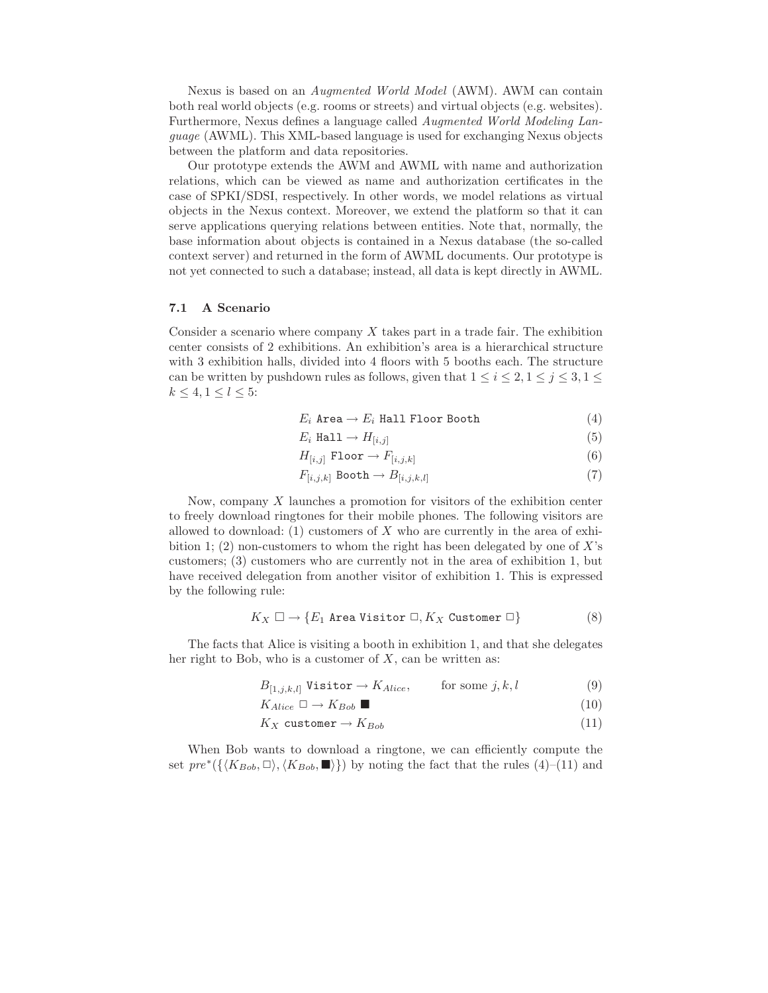Nexus is based on an *Augmented World Model* (AWM). AWM can contain both real world objects (e.g. rooms or streets) and virtual objects (e.g. websites). Furthermore, Nexus defines a language called *Augmented World Modeling Language* (AWML). This XML-based language is used for exchanging Nexus objects between the platform and data repositories.

Our prototype extends the AWM and AWML with name and authorization relations, which can be viewed as name and authorization certificates in the case of SPKI/SDSI, respectively. In other words, we model relations as virtual objects in the Nexus context. Moreover, we extend the platform so that it can serve applications querying relations between entities. Note that, normally, the base information about objects is contained in a Nexus database (the so-called context server) and returned in the form of AWML documents. Our prototype is not yet connected to such a database; instead, all data is kept directly in AWML.

### **7.1 A Scenario**

Consider a scenario where company  $X$  takes part in a trade fair. The exhibition center consists of 2 exhibitions. An exhibition's area is a hierarchical structure with 3 exhibition halls, divided into 4 floors with 5 booths each. The structure can be written by pushdown rules as follows, given that  $1 \leq i \leq 2, 1 \leq j \leq 3, 1 \leq j \leq k$  $k \le 4, 1 \le l \le 5$ :

$$
E_i \text{ Area} \to E_i \text{ Hall Floor Booth} \tag{4}
$$

$$
E_i \text{ Hall} \to H_{[i,j]} \tag{5}
$$

$$
H_{[i,j]} \text{ Floor} \to F_{[i,j,k]} \tag{6}
$$

$$
F_{[i,j,k]} \text{ Booth} \to B_{[i,j,k,l]} \tag{7}
$$

Now, company  $X$  launches a promotion for visitors of the exhibition center to freely download ringtones for their mobile phones. The following visitors are allowed to download:  $(1)$  customers of X who are currently in the area of exhibition 1; (2) non-customers to whom the right has been delegated by one of  $X$ 's customers; (3) customers who are currently not in the area of exhibition 1, but have received delegation from another visitor of exhibition 1. This is expressed by the following rule:

$$
K_X \Box \to \{E_1 \text{ Area Visitor } \Box, K_X \text{ Customer } \Box\}
$$
 (8)

The facts that Alice is visiting a booth in exhibition 1, and that she delegates her right to Bob, who is a customer of  $X$ , can be written as:

$$
B_{[1,j,k,l]} \text{ Visitor} \to K_{Alice}, \qquad \text{for some } j,k,l \tag{9}
$$

$$
K_{Alice} \ \square \to K_{Bob} \ \blacksquare \tag{10}
$$

$$
K_X \text{ customer} \to K_{Bob} \tag{11}
$$

When Bob wants to download a ringtone, we can efficiently compute the set  $pre^*(\{\langle K_{Bob}, \Box \rangle, \langle K_{Bob}, \blacksquare \rangle\})$  by noting the fact that the rules (4)–(11) and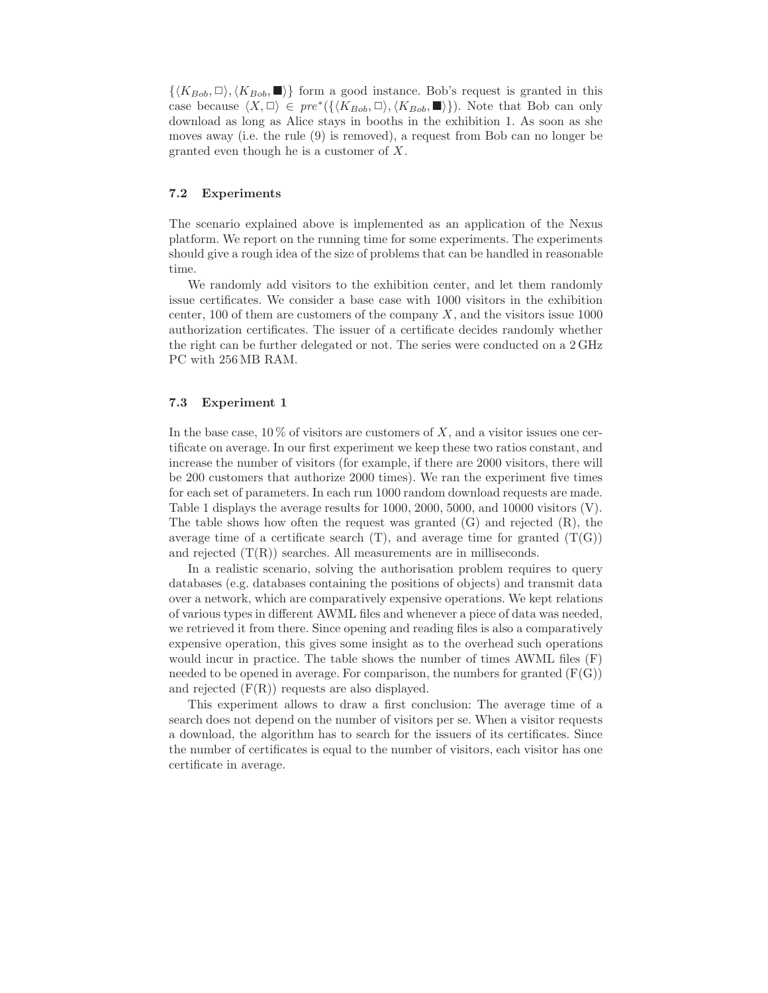$\{K_{Bob}, \Box\}, \langle K_{Bob}, \blacksquare \rangle\}$  form a good instance. Bob's request is granted in this case because  $\langle X, \Box \rangle \in pre^*(\{\langle K_{Bob}, \Box \rangle, \langle K_{Bob}, \blacksquare \rangle\}).$  Note that Bob can only download as long as Alice stays in booths in the exhibition 1. As soon as she moves away (i.e. the rule (9) is removed), a request from Bob can no longer be granted even though he is a customer of X.

### **7.2 Experiments**

The scenario explained above is implemented as an application of the Nexus platform. We report on the running time for some experiments. The experiments should give a rough idea of the size of problems that can be handled in reasonable time.

We randomly add visitors to the exhibition center, and let them randomly issue certificates. We consider a base case with 1000 visitors in the exhibition center, 100 of them are customers of the company  $X$ , and the visitors issue 1000 authorization certificates. The issuer of a certificate decides randomly whether the right can be further delegated or not. The series were conducted on a 2 GHz PC with 256 MB RAM.

#### **7.3 Experiment 1**

In the base case,  $10\%$  of visitors are customers of X, and a visitor issues one certificate on average. In our first experiment we keep these two ratios constant, and increase the number of visitors (for example, if there are 2000 visitors, there will be 200 customers that authorize 2000 times). We ran the experiment five times for each set of parameters. In each run 1000 random download requests are made. Table 1 displays the average results for 1000, 2000, 5000, and 10000 visitors (V). The table shows how often the request was granted  $(G)$  and rejected  $(R)$ , the average time of a certificate search  $(T)$ , and average time for granted  $(T(G))$ and rejected  $(T(R))$  searches. All measurements are in milliseconds.

In a realistic scenario, solving the authorisation problem requires to query databases (e.g. databases containing the positions of objects) and transmit data over a network, which are comparatively expensive operations. We kept relations of various types in different AWML files and whenever a piece of data was needed, we retrieved it from there. Since opening and reading files is also a comparatively expensive operation, this gives some insight as to the overhead such operations would incur in practice. The table shows the number of times AWML files (F) needed to be opened in average. For comparison, the numbers for granted  $(F(G))$ and rejected  $(F(R))$  requests are also displayed.

This experiment allows to draw a first conclusion: The average time of a search does not depend on the number of visitors per se. When a visitor requests a download, the algorithm has to search for the issuers of its certificates. Since the number of certificates is equal to the number of visitors, each visitor has one certificate in average.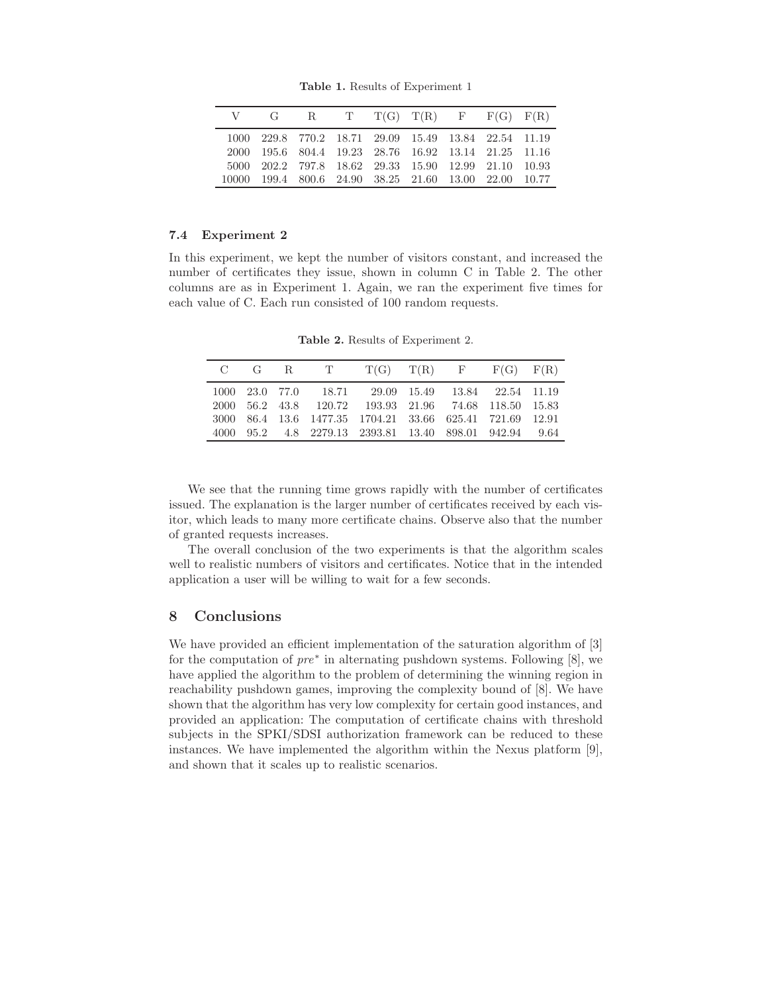**Table 1.** Results of Experiment 1

|  |  | $V$ G R T T(G) T(R) F F(G) F(R)                       |  |  |
|--|--|-------------------------------------------------------|--|--|
|  |  | 1000 229.8 770.2 18.71 29.09 15.49 13.84 22.54 11.19  |  |  |
|  |  | 2000 195.6 804.4 19.23 28.76 16.92 13.14 21.25 11.16  |  |  |
|  |  | 5000 202.2 797.8 18.62 29.33 15.90 12.99 21.10 10.93  |  |  |
|  |  | 10000 199.4 800.6 24.90 38.25 21.60 13.00 22.00 10.77 |  |  |

### **7.4 Experiment 2**

In this experiment, we kept the number of visitors constant, and increased the number of certificates they issue, shown in column C in Table 2. The other columns are as in Experiment 1. Again, we ran the experiment five times for each value of C. Each run consisted of 100 random requests.

|  |  | C G R T T(G) T(R) F F(G) F(R)                            |  |  |
|--|--|----------------------------------------------------------|--|--|
|  |  | 1000 23.0 77.0 18.71 29.09 15.49 13.84 22.54 11.19       |  |  |
|  |  | 2000 56.2 43.8 120.72 193.93 21.96 74.68 118.50 15.83    |  |  |
|  |  | 3000 86.4 13.6 1477.35 1704.21 33.66 625.41 721.69 12.91 |  |  |
|  |  | 4000 95.2 4.8 2279.13 2393.81 13.40 898.01 942.94 9.64   |  |  |

**Table 2.** Results of Experiment 2.

We see that the running time grows rapidly with the number of certificates issued. The explanation is the larger number of certificates received by each visitor, which leads to many more certificate chains. Observe also that the number of granted requests increases.

The overall conclusion of the two experiments is that the algorithm scales well to realistic numbers of visitors and certificates. Notice that in the intended application a user will be willing to wait for a few seconds.

## **8 Conclusions**

We have provided an efficient implementation of the saturation algorithm of [3] for the computation of *pre*<sup>∗</sup> in alternating pushdown systems. Following [8], we have applied the algorithm to the problem of determining the winning region in reachability pushdown games, improving the complexity bound of [8]. We have shown that the algorithm has very low complexity for certain good instances, and provided an application: The computation of certificate chains with threshold subjects in the SPKI/SDSI authorization framework can be reduced to these instances. We have implemented the algorithm within the Nexus platform  $[9]$ , and shown that it scales up to realistic scenarios.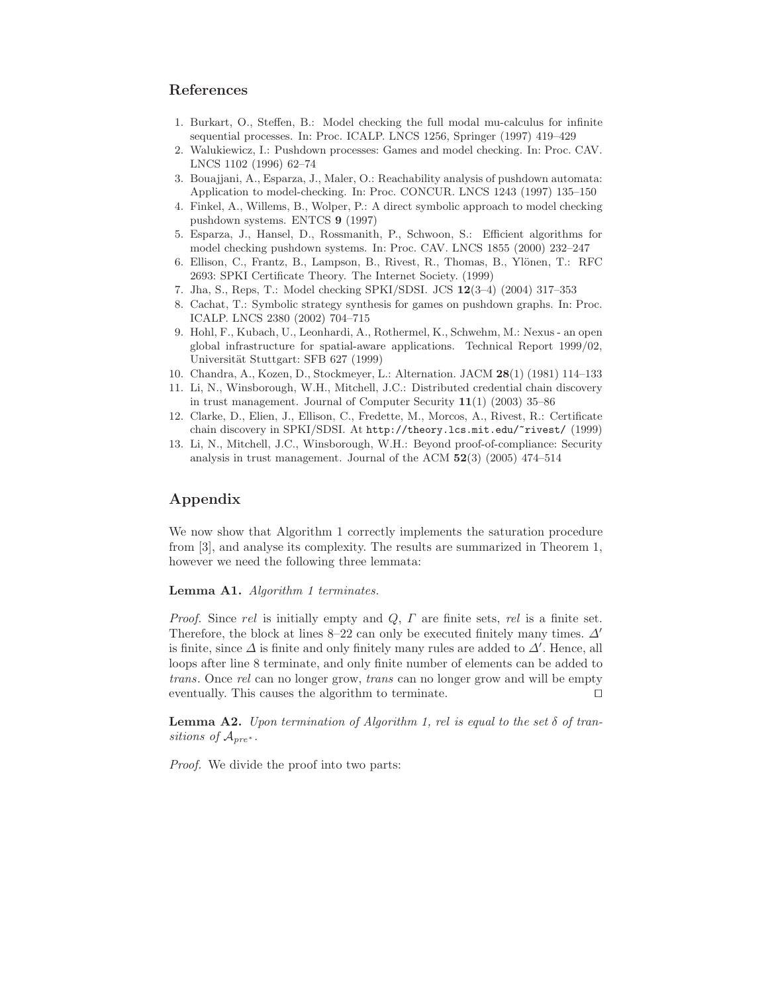# **References**

- 1. Burkart, O., Steffen, B.: Model checking the full modal mu-calculus for infinite sequential processes. In: Proc. ICALP. LNCS 1256, Springer (1997) 419–429
- 2. Walukiewicz, I.: Pushdown processes: Games and model checking. In: Proc. CAV. LNCS 1102 (1996) 62–74
- 3. Bouajjani, A., Esparza, J., Maler, O.: Reachability analysis of pushdown automata: Application to model-checking. In: Proc. CONCUR. LNCS 1243 (1997) 135–150
- 4. Finkel, A., Willems, B., Wolper, P.: A direct symbolic approach to model checking pushdown systems. ENTCS **9** (1997)
- 5. Esparza, J., Hansel, D., Rossmanith, P., Schwoon, S.: Efficient algorithms for model checking pushdown systems. In: Proc. CAV. LNCS 1855 (2000) 232–247
- 6. Ellison, C., Frantz, B., Lampson, B., Rivest, R., Thomas, B., Ylönen, T.: RFC 2693: SPKI Certificate Theory. The Internet Society. (1999)
- 7. Jha, S., Reps, T.: Model checking SPKI/SDSI. JCS **12**(3–4) (2004) 317–353
- 8. Cachat, T.: Symbolic strategy synthesis for games on pushdown graphs. In: Proc. ICALP. LNCS 2380 (2002) 704–715
- 9. Hohl, F., Kubach, U., Leonhardi, A., Rothermel, K., Schwehm, M.: Nexus an open global infrastructure for spatial-aware applications. Technical Report 1999/02, Universität Stuttgart: SFB 627 (1999)
- 10. Chandra, A., Kozen, D., Stockmeyer, L.: Alternation. JACM **28**(1) (1981) 114–133
- 11. Li, N., Winsborough, W.H., Mitchell, J.C.: Distributed credential chain discovery in trust management. Journal of Computer Security **11**(1) (2003) 35–86
- 12. Clarke, D., Elien, J., Ellison, C., Fredette, M., Morcos, A., Rivest, R.: Certificate chain discovery in SPKI/SDSI. At http://theory.lcs.mit.edu/~rivest/ (1999)
- 13. Li, N., Mitchell, J.C., Winsborough, W.H.: Beyond proof-of-compliance: Security analysis in trust management. Journal of the ACM **52**(3) (2005) 474–514

# **Appendix**

We now show that Algorithm 1 correctly implements the saturation procedure from [3], and analyse its complexity. The results are summarized in Theorem 1, however we need the following three lemmata:

#### **Lemma A1.** *Algorithm 1 terminates.*

*Proof.* Since rel is initially empty and Q, Γ are finite sets, *rel* is a finite set. Therefore, the block at lines 8–22 can only be executed finitely many times.  $\Delta'$ is finite, since  $\Delta$  is finite and only finitely many rules are added to  $\Delta'$ . Hence, all loops after line 8 terminate, and only finite number of elements can be added to *trans*. Once *rel* can no longer grow, *trans* can no longer grow and will be empty eventually. This causes the algorithm to terminate.

**Lemma A2.** *Upon termination of Algorithm 1, rel is equal to the set*  $\delta$  *of transitions of*  $A_{pre^*}$ .

*Proof.* We divide the proof into two parts: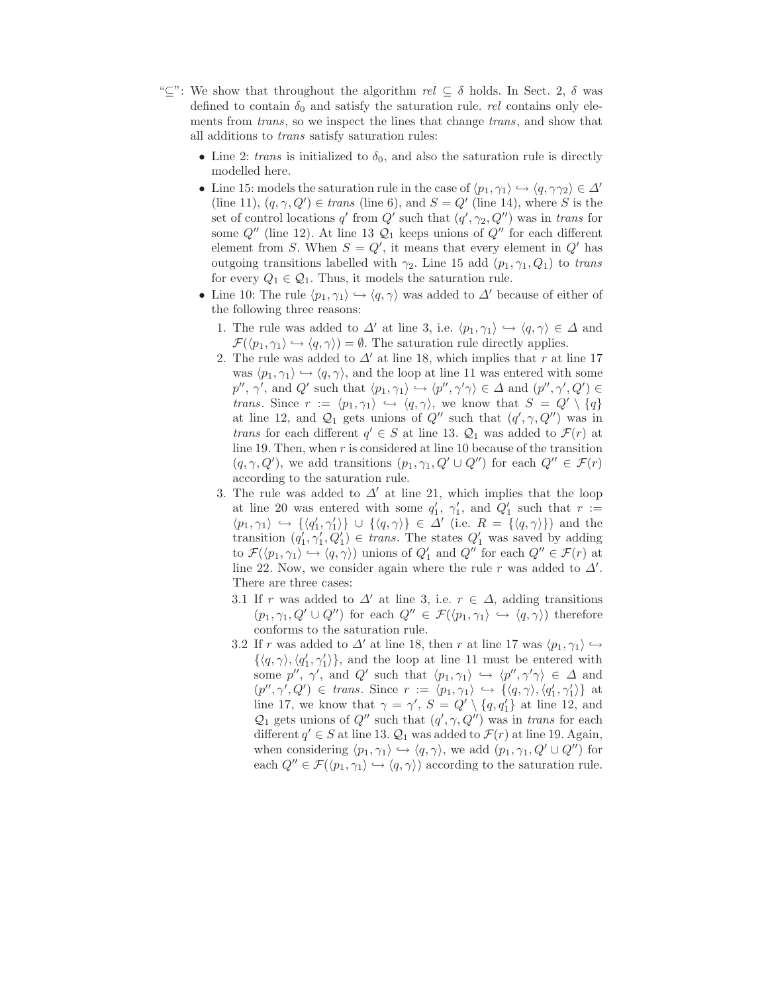- "⊆": We show that throughout the algorithm  $rel \subseteq \delta$  holds. In Sect. 2,  $\delta$  was defined to contain  $\delta_0$  and satisfy the saturation rule. *rel* contains only elements from *trans*, so we inspect the lines that change *trans*, and show that all additions to *trans* satisfy saturation rules:
	- Line 2: *trans* is initialized to  $\delta_0$ , and also the saturation rule is directly modelled here.
	- Line 15: models the saturation rule in the case of  $\langle p_1, \gamma_1 \rangle \hookrightarrow \langle q, \gamma_2 \rangle \in \Delta'$ (line 11),  $(q, \gamma, Q') \in \text{trans}$  (line 6), and  $S = Q'$  (line 14), where S is the set of control locations q' from  $Q'$  such that  $(q', \gamma_2, Q'')$  was in *trans* for some  $Q''$  (line 12). At line 13  $Q_1$  keeps unions of  $Q''$  for each different element from S. When  $S = Q'$ , it means that every element in  $Q'$  has outgoing transitions labelled with  $\gamma_2$ . Line 15 add  $(p_1, \gamma_1, Q_1)$  to *trans* for every  $Q_1 \in \mathcal{Q}_1$ . Thus, it models the saturation rule.
	- Line 10: The rule  $\langle p_1, \gamma_1 \rangle \hookrightarrow \langle q, \gamma \rangle$  was added to  $\Delta'$  because of either of the following three reasons:
		- 1. The rule was added to  $\Delta'$  at line 3, i.e.  $\langle p_1, \gamma_1 \rangle \hookrightarrow \langle q, \gamma \rangle \in \Delta$  and  $\mathcal{F}(\langle p_1, \gamma_1 \rangle \hookrightarrow \langle q, \gamma \rangle) = \emptyset$ . The saturation rule directly applies.
		- 2. The rule was added to  $\Delta'$  at line 18, which implies that r at line 17 was  $\langle p_1, \gamma_1 \rangle \hookrightarrow \langle q, \gamma \rangle$ , and the loop at line 11 was entered with some  $p'', \gamma',$  and  $Q'$  such that  $\langle p_1, \gamma_1 \rangle \hookrightarrow \langle p'', \gamma' \gamma \rangle \in \Delta$  and  $(p'', \gamma', Q') \in$ *trans*. Since  $r := \langle p_1, \gamma_1 \rangle \hookrightarrow \langle q, \gamma \rangle$ , we know that  $S = Q' \setminus \{q\}$ at line 12, and  $Q_1$  gets unions of  $Q''$  such that  $(q', \gamma, Q'')$  was in *trans* for each different  $q' \in S$  at line 13.  $\mathcal{Q}_1$  was added to  $\mathcal{F}(r)$  at line 19. Then, when  $r$  is considered at line 10 because of the transition  $(q, \gamma, Q')$ , we add transitions  $(p_1, \gamma_1, Q' \cup Q'')$  for each  $Q'' \in \mathcal{F}(r)$ according to the saturation rule.
		- 3. The rule was added to  $\Delta'$  at line 21, which implies that the loop at line 20 was entered with some  $q'_1$ ,  $\gamma'_1$ , and  $Q'_1$  such that  $r :=$  $\langle p_1, \gamma_1 \rangle \hookrightarrow \{\langle q_1', \gamma_1' \rangle\} \cup \{\langle q, \gamma \rangle\} \in \Delta'$  (i.e.  $R = \{\langle q, \gamma \rangle\}$ ) and the transition  $(q'_1, \gamma'_1, Q'_1) \in \text{trans. The states } Q'_1$  was saved by adding to  $\mathcal{F}(\langle p_1, \gamma_1 \rangle \hookrightarrow \langle q, \gamma \rangle)$  unions of  $Q'_1$  and  $Q''$  for each  $Q'' \in \mathcal{F}(r)$  at line 22. Now, we consider again where the rule r was added to  $\Delta'$ . There are three cases:
			- 3.1 If r was added to  $\Delta'$  at line 3, i.e.  $r \in \Delta$ , adding transitions  $(p_1, \gamma_1, Q' \cup Q'')$  for each  $Q'' \in \mathcal{F}(\langle p_1, \gamma_1 \rangle \hookrightarrow \langle q, \gamma \rangle)$  therefore conforms to the saturation rule.
			- 3.2 If r was added to  $\Delta'$  at line 18, then r at line 17 was  $\langle p_1, \gamma_1 \rangle \hookrightarrow$  $\{\langle q,\gamma\rangle,\langle q_1',\gamma_1'\rangle\},$  and the loop at line 11 must be entered with some  $p'', \gamma'$ , and Q' such that  $\langle p_1, \gamma_1 \rangle \hookrightarrow \langle p'', \gamma' \gamma \rangle \in \Delta$  and  $(p'', \gamma', Q') \in \text{trans. Since } r := \langle p_1, \gamma_1 \rangle \hookrightarrow \{ \langle q, \gamma \rangle, \langle q_1', \gamma_1' \rangle \}$  at line 17, we know that  $\gamma = \gamma'$ ,  $S = Q' \setminus \{q, q_1'\}$  at line 12, and  $Q_1$  gets unions of  $Q''$  such that  $(q', \gamma, Q'')$  was in *trans* for each different  $q' \in S$  at line 13.  $\mathcal{Q}_1$  was added to  $\mathcal{F}(r)$  at line 19. Again, when considering  $\langle p_1, \gamma_1 \rangle \hookrightarrow \langle q, \gamma \rangle$ , we add  $(p_1, \gamma_1, Q' \cup Q'')$  for each  $Q'' \in \mathcal{F}(\langle p_1, \gamma_1 \rangle \hookrightarrow \langle q, \gamma \rangle)$  according to the saturation rule.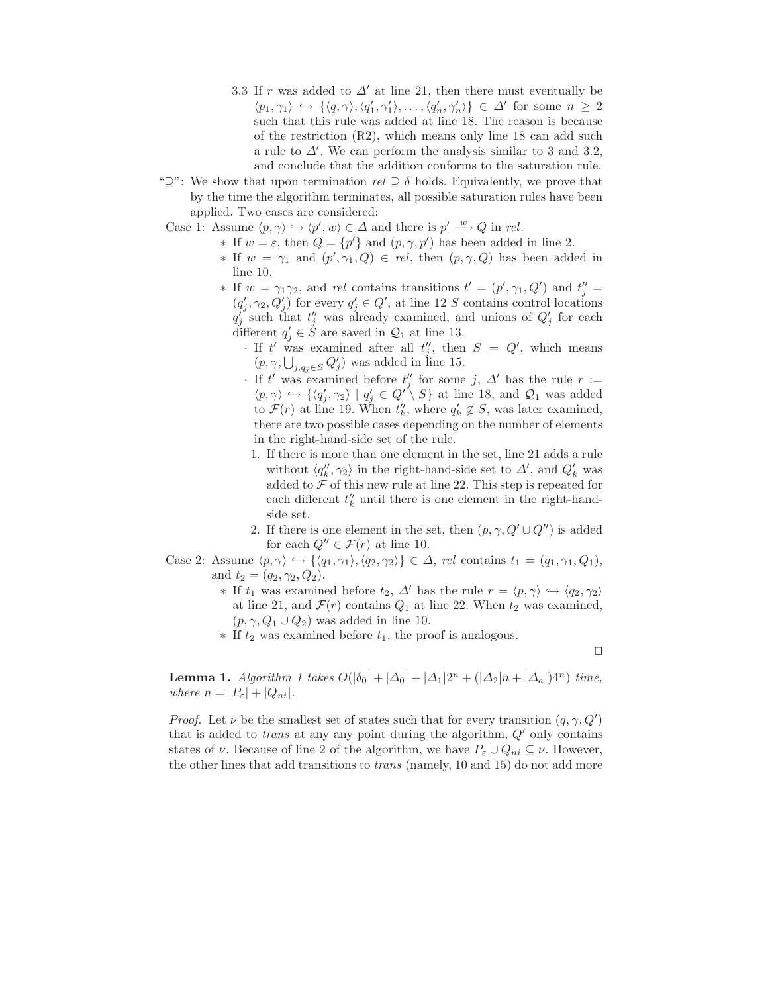- 3.3 If r was added to  $\Delta'$  at line 21, then there must eventually be  $\langle p_1, \gamma_1 \rangle \hookrightarrow \{ \langle q, \gamma \rangle, \langle q_1', \gamma_1' \rangle, \dots, \langle q_n', \gamma_n' \rangle \} \in \Delta'$  for some  $n \geq 2$ such that this rule was added at line 18. The reason is because of the restriction (R2), which means only line 18 can add such a rule to  $\Delta'$ . We can perform the analysis similar to 3 and 3.2, and conclude that the addition conforms to the saturation rule.
- " $\supseteq$ ": We show that upon termination *rel*  $\supseteq \delta$  holds. Equivalently, we prove that by the time the algorithm terminates, all possible saturation rules have been applied. Two cases are considered:
- Case 1: Assume  $\langle p, \gamma \rangle \hookrightarrow \langle p', w \rangle \in \Delta$  and there is  $p' \stackrel{w}{\longrightarrow} Q$  in *rel*.
	- <sup>∗</sup> If <sup>w</sup> <sup>=</sup> <sup>ε</sup>, then <sup>Q</sup> <sup>=</sup> {p } and (p, γ, p ) has been added in line 2.
		- <sup>∗</sup> If <sup>w</sup> <sup>=</sup> <sup>γ</sup><sup>1</sup> and (p , γ1, Q) <sup>∈</sup> *rel*, then (p, γ, Q) has been added in line 10.
		- $∗$  If  $w = \gamma_1 \gamma_2$ , and *rel* contains transitions  $t' = (p', \gamma_1, Q')$  and  $t''_j =$  $(q'_j, \gamma_2, Q'_j)$  for every  $q'_j \in Q'$ , at line 12 S contains control locations  $q_j'$  such that  $t_j''$  was already examined, and unions of  $Q_j'$  for each different  $q'_j \in \check{S}$  are saved in  $\mathcal{Q}_1$  at line 13.
			- If t' was examined after all  $t''_j$ , then  $S = Q'$ , which means  $(p, \gamma, \bigcup_{j,q_j \in S} Q'_j)$  was added in line 15.
			- · If t' was examined before  $t''_j$  for some j,  $\Delta'$  has the rule  $r :=$  $\langle p, \gamma \rangle \hookrightarrow \{ \langle q'_j, \gamma_2 \rangle \mid q'_j \in Q' \setminus S \}$  at line 18, and  $\mathcal{Q}_1$  was added to  $\mathcal{F}(r)$  at line 19. When  $t''_k$ , where  $q'_k \notin S$ , was later examined, there are two possible cases depending on the number of elements in the right-hand-side set of the rule.
			- 1. If there is more than one element in the set, line 21 adds a rule without  $\langle q_k'', \gamma_2 \rangle$  in the right-hand-side set to  $\Delta'$ , and  $Q'_k$  was added to  $\mathcal F$  of this new rule at line 22. This step is repeated for each different  $t_k''$  until there is one element in the right-handside set.
			- 2. If there is one element in the set, then  $(p, \gamma, Q' \cup Q'')$  is added for each  $Q'' \in \mathcal{F}(r)$  at line 10.
- Case 2: Assume  $\langle p, \gamma \rangle \hookrightarrow \{\langle q_1, \gamma_1 \rangle, \langle q_2, \gamma_2 \rangle\} \in \Delta$ , *rel* contains  $t_1 = (q_1, \gamma_1, Q_1)$ , and  $t_2 = (q_2, \gamma_2, Q_2)$ .
	- $∗$  If  $t_1$  was examined before  $t_2$ ,  $\Delta'$  has the rule  $r = \langle p, \gamma \rangle \hookrightarrow \langle q_2, \gamma_2 \rangle$ at line 21, and  $\mathcal{F}(r)$  contains  $Q_1$  at line 22. When  $t_2$  was examined,  $(p, \gamma, Q_1 \cup Q_2)$  was added in line 10.
	- $*$  If  $t_2$  was examined before  $t_1$ , the proof is analogous.

 $\Box$ 

**Lemma 1.** *Algorithm 1 takes*  $O(|\delta_0| + |\Delta_0| + |\Delta_1|2^n + (|\Delta_2|n + |\Delta_a|)4^n)$  *time, where*  $n = |P_{\varepsilon}| + |Q_{ni}|$ .

*Proof.* Let  $\nu$  be the smallest set of states such that for every transition  $(q, \gamma, Q')$ that is added to *trans* at any any point during the algorithm,  $Q'$  only contains states of  $\nu$ . Because of line 2 of the algorithm, we have  $P_{\varepsilon} \cup Q_{ni} \subseteq \nu$ . However, the other lines that add transitions to *trans* (namely, 10 and 15) do not add more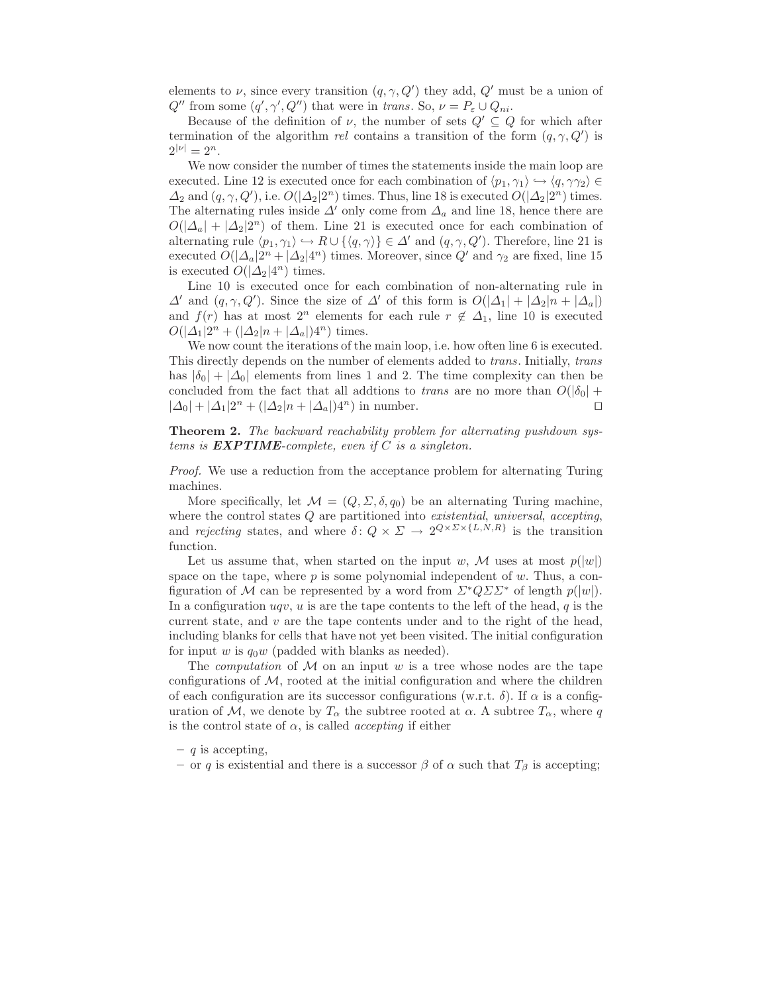elements to  $\nu$ , since every transition  $(q, \gamma, Q')$  they add,  $Q'$  must be a union of  $Q''$  from some  $(q', \gamma', Q'')$  that were in *trans*. So,  $\nu = P_{\varepsilon} \cup Q_{ni}$ .

Because of the definition of  $\nu$ , the number of sets  $Q' \subseteq Q$  for which after termination of the algorithm *rel* contains a transition of the form  $(q, \gamma, Q')$  is  $2^{|\nu|} = 2^n$ .

We now consider the number of times the statements inside the main loop are executed. Line 12 is executed once for each combination of  $\langle p_1, \gamma_1 \rangle \hookrightarrow \langle q, \gamma \gamma_2 \rangle \in$  $\Delta_2$  and  $(q, \gamma, Q')$ , i.e.  $O(|\Delta_2|2^n)$  times. Thus, line 18 is executed  $O(|\Delta_2|2^n)$  times. The alternating rules inside  $\Delta'$  only come from  $\Delta_a$  and line 18, hence there are  $O(|\Delta_a| + |\Delta_2|2^n)$  of them. Line 21 is executed once for each combination of alternating rule  $\langle p_1, \gamma_1 \rangle \hookrightarrow R \cup \{ \langle q, \gamma \rangle \} \in \Delta'$  and  $(q, \gamma, Q')$ . Therefore, line 21 is executed  $O(|\Delta_a|2^n + |\Delta_2|4^n)$  times. Moreover, since  $Q'$  and  $\gamma_2$  are fixed, line 15 is executed  $O(|\Delta_2|4^n)$  times.

Line 10 is executed once for each combination of non-alternating rule in  $\Delta'$  and  $(q, \gamma, Q')$ . Since the size of  $\Delta'$  of this form is  $O(|\Delta_1| + |\Delta_2|n + |\Delta_a|)$ and  $f(r)$  has at most  $2^n$  elements for each rule  $r \notin \Delta_1$ , line 10 is executed  $O(|\Delta_1|2^n + (|\Delta_2|n + |\Delta_a|)4^n)$  times.

We now count the iterations of the main loop, i.e. how often line 6 is executed. This directly depends on the number of elements added to *trans*. Initially, *trans* has  $|\delta_0| + |\Delta_0|$  elements from lines 1 and 2. The time complexity can then be concluded from the fact that all addtions to *trans* are no more than  $O(|\delta_0| + |\Delta_1| + |\Delta_1|2^n + (|\Delta_2|n + |\Delta_3|4^n)$  in number.  $|\Delta_0| + |\Delta_1| 2^n + (|\Delta_2| n + |\Delta_a|) 4^n$  in number.

**Theorem 2.** *The backward reachability problem for alternating pushdown systems is EXPTIME-complete, even if* C *is a singleton.*

*Proof.* We use a reduction from the acceptance problem for alternating Turing machines.

More specifically, let  $\mathcal{M} = (Q, \Sigma, \delta, q_0)$  be an alternating Turing machine, where the control states Q are partitioned into *existential*, *universal*, *accepting*, and *rejecting* states, and where  $\delta: Q \times \Sigma \to 2^{Q \times \Sigma \times \{L, N, R\}}$  is the transition function.

Let us assume that, when started on the input w, M uses at most  $p(|w|)$ space on the tape, where  $p$  is some polynomial independent of  $w$ . Thus, a configuration of M can be represented by a word from  $\Sigma^* Q \Sigma \Sigma^*$  of length  $p(|w|)$ . In a configuration  $uqv$ , u is are the tape contents to the left of the head, q is the current state, and  $v$  are the tape contents under and to the right of the head, including blanks for cells that have not yet been visited. The initial configuration for input w is  $q_0w$  (padded with blanks as needed).

The *computation* of  $M$  on an input  $w$  is a tree whose nodes are the tape configurations of  $M$ , rooted at the initial configuration and where the children of each configuration are its successor configurations (w.r.t.  $\delta$ ). If  $\alpha$  is a configuration of M, we denote by  $T_{\alpha}$  the subtree rooted at  $\alpha$ . A subtree  $T_{\alpha}$ , where q is the control state of  $\alpha$ , is called *accepting* if either

**–** q is accepting,

– or q is existential and there is a successor  $β$  of  $α$  such that  $T<sub>β</sub>$  is accepting;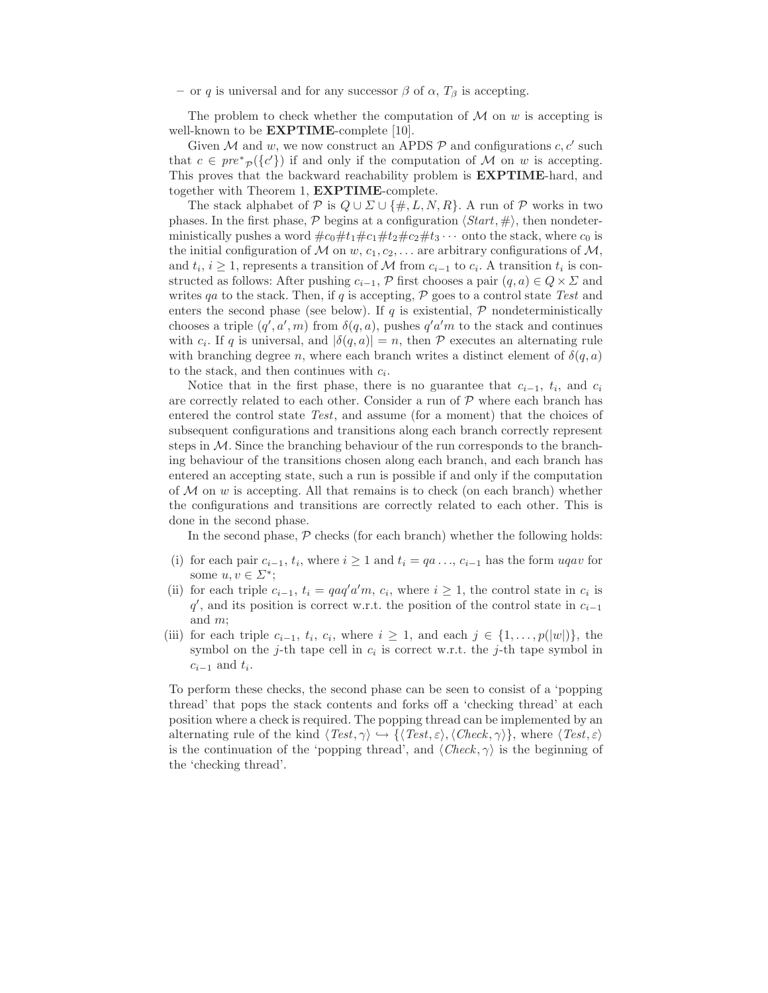– or q is universal and for any successor  $β$  of  $α$ ,  $T<sub>β</sub>$  is accepting.

The problem to check whether the computation of  $\mathcal M$  on w is accepting is well-known to be **EXPTIME**-complete [10].

Given M and w, we now construct an APDS  $P$  and configurations c, c' such that  $c \in pre^*_{\mathcal{P}}(\{c'\})$  if and only if the computation of  $\mathcal M$  on w is accepting. This proves that the backward reachability problem is **EXPTIME**-hard, and together with Theorem 1, **EXPTIME**-complete.

The stack alphabet of  $P$  is  $Q \cup \Sigma \cup \{\#, L, N, R\}$ . A run of  $P$  works in two phases. In the first phase,  $P$  begins at a configuration  $\langle Start, \# \rangle$ , then nondeterministically pushes a word  $\#c_0\#t_1\#c_1\#t_2\#c_2\#t_3\cdots$  onto the stack, where  $c_0$  is the initial configuration of M on w,  $c_1, c_2, \ldots$  are arbitrary configurations of M, and  $t_i, i \geq 1$ , represents a transition of M from  $c_{i-1}$  to  $c_i$ . A transition  $t_i$  is constructed as follows: After pushing  $c_{i-1}$ ,  $\mathcal P$  first chooses a pair  $(q, a) \in Q \times \Sigma$  and writes qa to the stack. Then, if <sup>q</sup> is accepting, <sup>P</sup> goes to a control state *Test* and enters the second phase (see below). If q is existential,  $P$  nondeterministically chooses a triple  $(q', a', m)$  from  $\delta(q, a)$ , pushes  $q' a' m$  to the stack and continues with  $c_i$ . If q is universal, and  $|\delta(q, a)| = n$ , then P executes an alternating rule with branching degree n, where each branch writes a distinct element of  $\delta(q, a)$ to the stack, and then continues with  $c_i$ .

Notice that in the first phase, there is no guarantee that  $c_{i-1}$ ,  $t_i$ , and  $c_i$ are correctly related to each other. Consider a run of  $P$  where each branch has entered the control state *Test*, and assume (for a moment) that the choices of subsequent configurations and transitions along each branch correctly represent steps in  $M$ . Since the branching behaviour of the run corresponds to the branching behaviour of the transitions chosen along each branch, and each branch has entered an accepting state, such a run is possible if and only if the computation of  $M$  on  $w$  is accepting. All that remains is to check (on each branch) whether the configurations and transitions are correctly related to each other. This is done in the second phase.

In the second phase,  $P$  checks (for each branch) whether the following holds:

- (i) for each pair  $c_{i-1}$ ,  $t_i$ , where  $i \geq 1$  and  $t_i = qa \dots, c_{i-1}$  has the form uqav for some  $u, v \in \Sigma^*$ ;
- (ii) for each triple  $c_{i-1}$ ,  $t_i = \frac{qaq'a'm}{m}$ ,  $c_i$ , where  $i \geq 1$ , the control state in  $c_i$  is  $q'$ , and its position is correct w.r.t. the position of the control state in  $c_{i-1}$ and m;
- (iii) for each triple  $c_{i-1}, t_i, c_i$ , where  $i \geq 1$ , and each  $j \in \{1, ..., p(|w|)\}\$ , the symbol on the j-th tape cell in  $c_i$  is correct w.r.t. the j-th tape symbol in  $c_{i-1}$  and  $t_i$ .

To perform these checks, the second phase can be seen to consist of a 'popping thread' that pops the stack contents and forks off a 'checking thread' at each position where a check is required. The popping thread can be implemented by an alternating rule of the kind  $\langle Test, \gamma \rangle \hookrightarrow \{\langle Test, \varepsilon \rangle, \langle Check, \gamma \rangle\},\$  where  $\langle Test, \varepsilon \rangle$ is the continuation of the 'popping thread', and  $\langle Check, \gamma \rangle$  is the beginning of the 'checking thread'.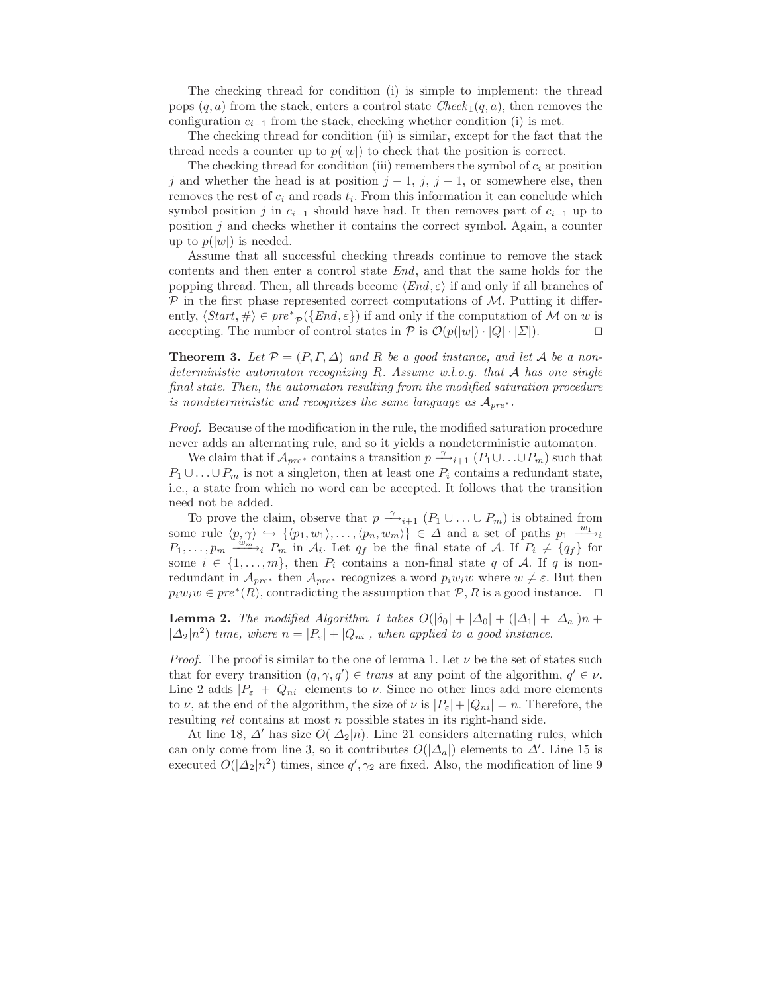The checking thread for condition (i) is simple to implement: the thread pops  $(q, a)$  from the stack, enters a control state  $Check_1(q, a)$ , then removes the configuration  $c_{i-1}$  from the stack, checking whether condition (i) is met.

The checking thread for condition (ii) is similar, except for the fact that the thread needs a counter up to  $p(|w|)$  to check that the position is correct.

The checking thread for condition (iii) remembers the symbol of  $c_i$  at position j and whether the head is at position  $j-1$ , j,  $j+1$ , or somewhere else, then removes the rest of  $c_i$  and reads  $t_i$ . From this information it can conclude which symbol position j in  $c_{i-1}$  should have had. It then removes part of  $c_{i-1}$  up to position  $j$  and checks whether it contains the correct symbol. Again, a counter up to  $p(|w|)$  is needed.

Assume that all successful checking threads continue to remove the stack contents and then enter a control state *End*, and that the same holds for the popping thread. Then, all threads become  $\langle End, \varepsilon \rangle$  if and only if all branches of  $P$  in the first phase represented correct computations of  $M$ . Putting it differently,  $\langle Start, \# \rangle \in pre^*_{\mathcal{P}}(\lbrace End, \varepsilon \rbrace)$  if and only if the computation of M on w is accepting. The number of control states in  $\mathcal P$  is  $\mathcal O(p(|w|) \cdot |Q| \cdot |\Sigma|)$ .

**Theorem 3.** Let  $P = (P, \Gamma, \Delta)$  and R be a good instance, and let A be a non*deterministic automaton recognizing* <sup>R</sup>*. Assume w.l.o.g. that* <sup>A</sup> *has one single final state. Then, the automaton resulting from the modified saturation procedure is nondeterministic and recognizes the same language as* A*pre*<sup>∗</sup> *.*

*Proof.* Because of the modification in the rule, the modified saturation procedure never adds an alternating rule, and so it yields a nondeterministic automaton.

We claim that if  $\mathcal{A}_{pre^*}$  contains a transition  $p \stackrel{\gamma}{\longrightarrow}_{i+1} (P_1 \cup \ldots \cup P_m)$  such that  $P_1 \cup \ldots \cup P_m$  is not a singleton, then at least one  $P_i$  contains a redundant state, i.e., a state from which no word can be accepted. It follows that the transition need not be added.

To prove the claim, observe that  $p \xrightarrow{\gamma}{}_{i+1} (P_1 \cup \ldots \cup P_m)$  is obtained from some rule  $\langle p, \gamma \rangle \hookrightarrow \{\langle p_1, w_1 \rangle, \ldots, \langle p_n, w_m \rangle\} \in \Delta$  and a set of paths  $p_1 \stackrel{w_1}{\longrightarrow}_i$  $P_1,\ldots,p_m \xrightarrow{w_m} i P_m$  in  $\mathcal{A}_i$ . Let  $q_f$  be the final state of  $\mathcal{A}$ . If  $P_i \neq \{q_f\}$  for some  $i \in \{1, \ldots, m\}$ , then  $P_i$  contains a non-final state q of A. If q is nonredundant in  $A_{pre^*}$  then  $A_{pre^*}$  recognizes a word  $p_iw_iw$  where  $w \neq \varepsilon$ . But then  $p_i w_i w \in pre^*(R)$ , contradicting the assumption that  $P, R$  is a good instance.  $\Box$ 

**Lemma 2.** *The modified Algorithm 1 takes*  $O(|\delta_0| + |\Delta_0| + (|\Delta_1| + |\Delta_a|)n +$  $|\Delta_2|n^2$  *time, where*  $n = |P_{\varepsilon}| + |Q_{ni}|$ *, when applied to a good instance.* 

*Proof.* The proof is similar to the one of lemma 1. Let  $\nu$  be the set of states such that for every transition  $(q, \gamma, q') \in \text{trans}$  at any point of the algorithm,  $q' \in \nu$ . Line 2 adds  $|P_{\varepsilon}| + |Q_{ni}|$  elements to  $\nu$ . Since no other lines add more elements to  $\nu$ , at the end of the algorithm, the size of  $\nu$  is  $|P_{\varepsilon}| + |Q_{ni}| = n$ . Therefore, the resulting *rel* contains at most n possible states in its right-hand side.

At line 18,  $\Delta'$  has size  $O(|\Delta_2|n)$ . Line 21 considers alternating rules, which can only come from line 3, so it contributes  $O(|\Delta_a|)$  elements to  $\Delta'$ . Line 15 is executed  $O(|\Delta_2|n^2)$  times, since  $q', \gamma_2$  are fixed. Also, the modification of line 9